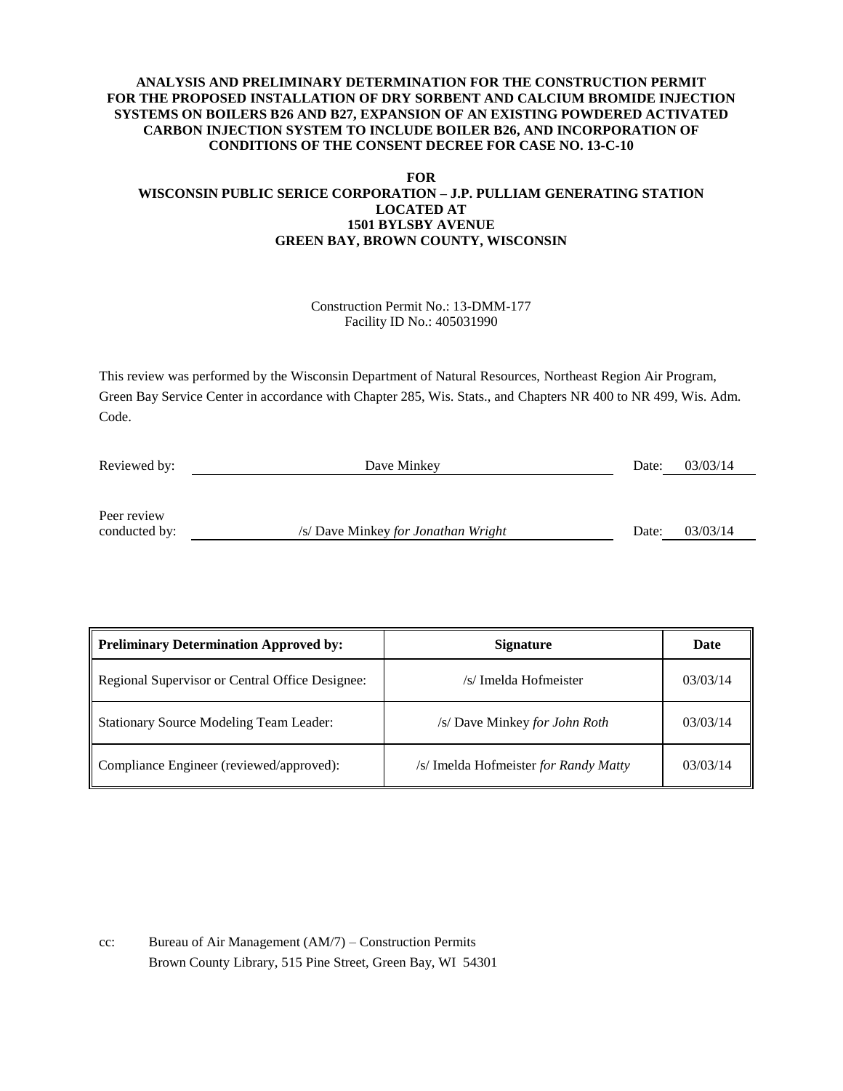### **ANALYSIS AND PRELIMINARY DETERMINATION FOR THE CONSTRUCTION PERMIT FOR THE PROPOSED INSTALLATION OF DRY SORBENT AND CALCIUM BROMIDE INJECTION SYSTEMS ON BOILERS B26 AND B27, EXPANSION OF AN EXISTING POWDERED ACTIVATED CARBON INJECTION SYSTEM TO INCLUDE BOILER B26, AND INCORPORATION OF CONDITIONS OF THE CONSENT DECREE FOR CASE NO. 13-C-10**

#### **FOR**

### **WISCONSIN PUBLIC SERICE CORPORATION – J.P. PULLIAM GENERATING STATION LOCATED AT 1501 BYLSBY AVENUE GREEN BAY, BROWN COUNTY, WISCONSIN**

### Construction Permit No.: 13-DMM-177 Facility ID No.: 405031990

This review was performed by the Wisconsin Department of Natural Resources, Northeast Region Air Program, Green Bay Service Center in accordance with Chapter 285, Wis. Stats., and Chapters NR 400 to NR 499, Wis. Adm. Code.

| Reviewed by:  | Dave Minkey                         | Date: | 03/03/14 |
|---------------|-------------------------------------|-------|----------|
|               |                                     |       |          |
|               |                                     |       |          |
| Peer review   |                                     |       |          |
| conducted by: | /s/ Dave Minkey for Jonathan Wright | Date: | 03/03/14 |

| <b>Preliminary Determination Approved by:</b>   | <b>Signature</b>                      | Date     |
|-------------------------------------------------|---------------------------------------|----------|
| Regional Supervisor or Central Office Designee: | /s/ Imelda Hofmeister                 | 03/03/14 |
| <b>Stationary Source Modeling Team Leader:</b>  | /s/ Dave Minkey for John Roth         | 03/03/14 |
| Compliance Engineer (reviewed/approved):        | /s/ Imelda Hofmeister for Randy Matty | 03/03/14 |

cc: Bureau of Air Management (AM/7) – Construction Permits Brown County Library, 515 Pine Street, Green Bay, WI 54301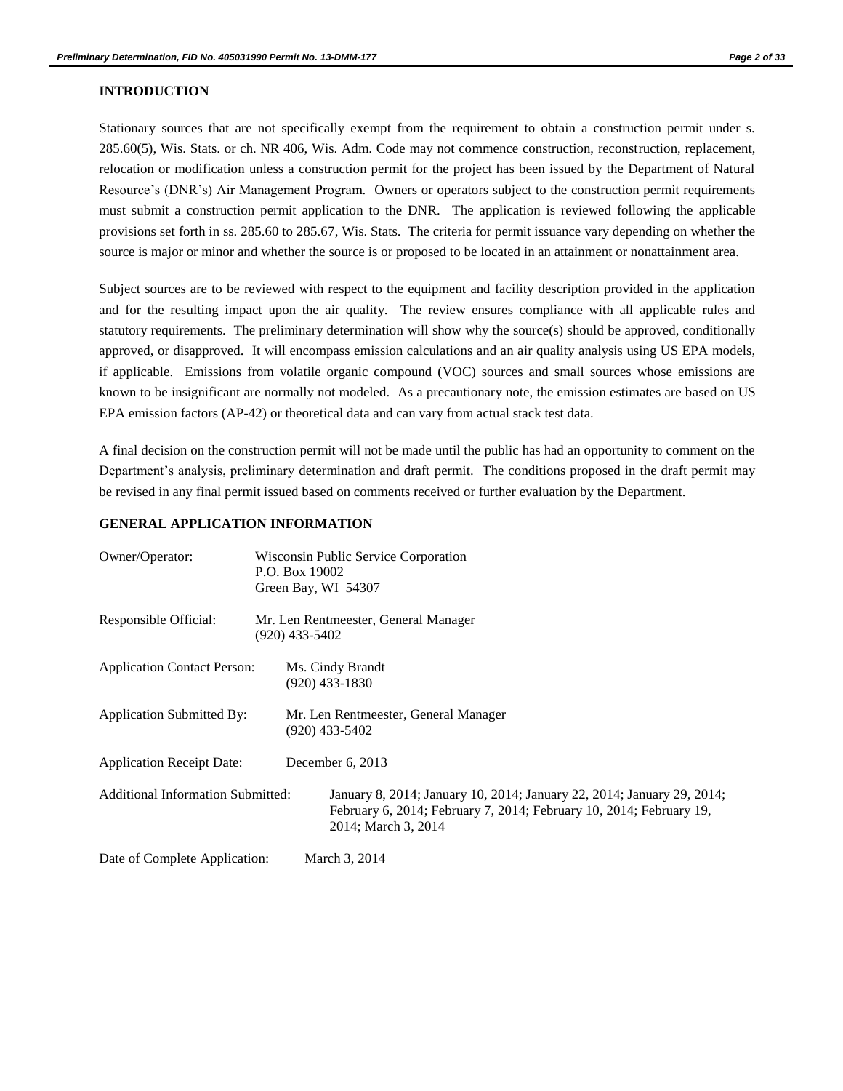#### **INTRODUCTION**

Stationary sources that are not specifically exempt from the requirement to obtain a construction permit under s. 285.60(5), Wis. Stats. or ch. NR 406, Wis. Adm. Code may not commence construction, reconstruction, replacement, relocation or modification unless a construction permit for the project has been issued by the Department of Natural Resource's (DNR's) Air Management Program. Owners or operators subject to the construction permit requirements must submit a construction permit application to the DNR. The application is reviewed following the applicable provisions set forth in ss. 285.60 to 285.67, Wis. Stats. The criteria for permit issuance vary depending on whether the source is major or minor and whether the source is or proposed to be located in an attainment or nonattainment area.

Subject sources are to be reviewed with respect to the equipment and facility description provided in the application and for the resulting impact upon the air quality. The review ensures compliance with all applicable rules and statutory requirements. The preliminary determination will show why the source(s) should be approved, conditionally approved, or disapproved. It will encompass emission calculations and an air quality analysis using US EPA models, if applicable. Emissions from volatile organic compound (VOC) sources and small sources whose emissions are known to be insignificant are normally not modeled. As a precautionary note, the emission estimates are based on US EPA emission factors (AP-42) or theoretical data and can vary from actual stack test data.

A final decision on the construction permit will not be made until the public has had an opportunity to comment on the Department's analysis, preliminary determination and draft permit. The conditions proposed in the draft permit may be revised in any final permit issued based on comments received or further evaluation by the Department.

### **GENERAL APPLICATION INFORMATION**

| Owner/Operator:                          |                                                        | P.O. Box 19002                                           | Wisconsin Public Service Corporation<br>Green Bay, WI 54307                                                                                                          |
|------------------------------------------|--------------------------------------------------------|----------------------------------------------------------|----------------------------------------------------------------------------------------------------------------------------------------------------------------------|
| Responsible Official:                    | Mr. Len Rentmeester, General Manager<br>(920) 433-5402 |                                                          |                                                                                                                                                                      |
| <b>Application Contact Person:</b>       |                                                        |                                                          | Ms. Cindy Brandt<br>$(920)$ 433-1830                                                                                                                                 |
| Application Submitted By:                |                                                        | Mr. Len Rentmeester, General Manager<br>$(920)$ 433-5402 |                                                                                                                                                                      |
| <b>Application Receipt Date:</b>         |                                                        | December 6, 2013                                         |                                                                                                                                                                      |
| <b>Additional Information Submitted:</b> |                                                        |                                                          | January 8, 2014; January 10, 2014; January 22, 2014; January 29, 2014;<br>February 6, 2014; February 7, 2014; February 10, 2014; February 19,<br>2014; March 3, 2014 |
| Date of Complete Application:            |                                                        |                                                          | March 3, 2014                                                                                                                                                        |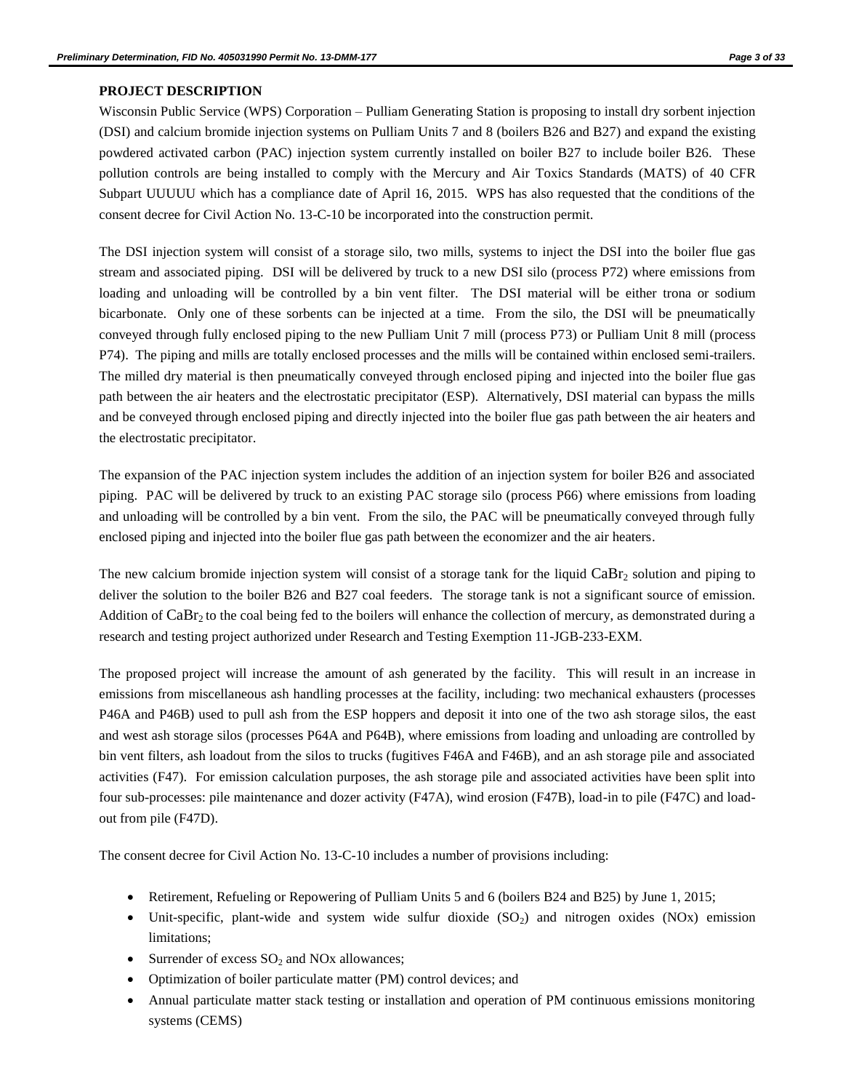### **PROJECT DESCRIPTION**

Wisconsin Public Service (WPS) Corporation – Pulliam Generating Station is proposing to install dry sorbent injection (DSI) and calcium bromide injection systems on Pulliam Units 7 and 8 (boilers B26 and B27) and expand the existing powdered activated carbon (PAC) injection system currently installed on boiler B27 to include boiler B26. These pollution controls are being installed to comply with the Mercury and Air Toxics Standards (MATS) of 40 CFR Subpart UUUUU which has a compliance date of April 16, 2015. WPS has also requested that the conditions of the consent decree for Civil Action No. 13-C-10 be incorporated into the construction permit.

The DSI injection system will consist of a storage silo, two mills, systems to inject the DSI into the boiler flue gas stream and associated piping. DSI will be delivered by truck to a new DSI silo (process P72) where emissions from loading and unloading will be controlled by a bin vent filter. The DSI material will be either trona or sodium bicarbonate. Only one of these sorbents can be injected at a time. From the silo, the DSI will be pneumatically conveyed through fully enclosed piping to the new Pulliam Unit 7 mill (process P73) or Pulliam Unit 8 mill (process P74). The piping and mills are totally enclosed processes and the mills will be contained within enclosed semi-trailers. The milled dry material is then pneumatically conveyed through enclosed piping and injected into the boiler flue gas path between the air heaters and the electrostatic precipitator (ESP). Alternatively, DSI material can bypass the mills and be conveyed through enclosed piping and directly injected into the boiler flue gas path between the air heaters and the electrostatic precipitator.

The expansion of the PAC injection system includes the addition of an injection system for boiler B26 and associated piping. PAC will be delivered by truck to an existing PAC storage silo (process P66) where emissions from loading and unloading will be controlled by a bin vent. From the silo, the PAC will be pneumatically conveyed through fully enclosed piping and injected into the boiler flue gas path between the economizer and the air heaters.

The new calcium bromide injection system will consist of a storage tank for the liquid  $CaBr<sub>2</sub>$  solution and piping to deliver the solution to the boiler B26 and B27 coal feeders. The storage tank is not a significant source of emission. Addition of  $CaBr<sub>2</sub>$  to the coal being fed to the boilers will enhance the collection of mercury, as demonstrated during a research and testing project authorized under Research and Testing Exemption 11-JGB-233-EXM.

The proposed project will increase the amount of ash generated by the facility. This will result in an increase in emissions from miscellaneous ash handling processes at the facility, including: two mechanical exhausters (processes P46A and P46B) used to pull ash from the ESP hoppers and deposit it into one of the two ash storage silos, the east and west ash storage silos (processes P64A and P64B), where emissions from loading and unloading are controlled by bin vent filters, ash loadout from the silos to trucks (fugitives F46A and F46B), and an ash storage pile and associated activities (F47). For emission calculation purposes, the ash storage pile and associated activities have been split into four sub-processes: pile maintenance and dozer activity (F47A), wind erosion (F47B), load-in to pile (F47C) and loadout from pile (F47D).

The consent decree for Civil Action No. 13-C-10 includes a number of provisions including:

- Retirement, Refueling or Repowering of Pulliam Units 5 and 6 (boilers B24 and B25) by June 1, 2015;
- $\bullet$  Unit-specific, plant-wide and system wide sulfur dioxide (SO<sub>2</sub>) and nitrogen oxides (NOx) emission limitations;
- Surrender of excess  $SO_2$  and NOx allowances;
- Optimization of boiler particulate matter (PM) control devices; and
- Annual particulate matter stack testing or installation and operation of PM continuous emissions monitoring systems (CEMS)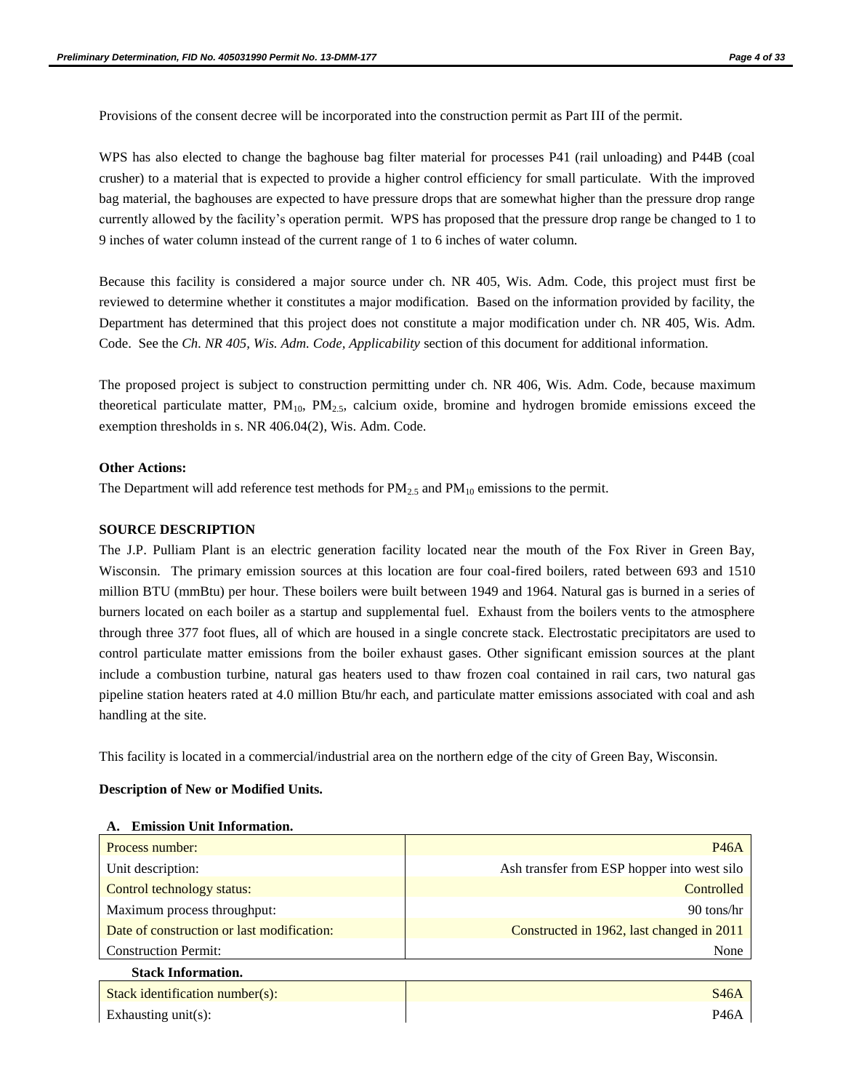Provisions of the consent decree will be incorporated into the construction permit as Part III of the permit.

WPS has also elected to change the baghouse bag filter material for processes P41 (rail unloading) and P44B (coal crusher) to a material that is expected to provide a higher control efficiency for small particulate. With the improved bag material, the baghouses are expected to have pressure drops that are somewhat higher than the pressure drop range currently allowed by the facility's operation permit. WPS has proposed that the pressure drop range be changed to 1 to 9 inches of water column instead of the current range of 1 to 6 inches of water column.

Because this facility is considered a major source under ch. NR 405, Wis. Adm. Code, this project must first be reviewed to determine whether it constitutes a major modification. Based on the information provided by facility, the Department has determined that this project does not constitute a major modification under ch. NR 405, Wis. Adm. Code. See the *Ch. NR 405, Wis. Adm. Code, Applicability* section of this document for additional information.

The proposed project is subject to construction permitting under ch. NR 406, Wis. Adm. Code, because maximum theoretical particulate matter,  $PM_{10}$ ,  $PM_{2.5}$ , calcium oxide, bromine and hydrogen bromide emissions exceed the exemption thresholds in s. NR 406.04(2), Wis. Adm. Code.

#### **Other Actions:**

The Department will add reference test methods for  $PM_{2.5}$  and  $PM_{10}$  emissions to the permit.

#### **SOURCE DESCRIPTION**

The J.P. Pulliam Plant is an electric generation facility located near the mouth of the Fox River in Green Bay, Wisconsin. The primary emission sources at this location are four coal-fired boilers, rated between 693 and 1510 million BTU (mmBtu) per hour. These boilers were built between 1949 and 1964. Natural gas is burned in a series of burners located on each boiler as a startup and supplemental fuel. Exhaust from the boilers vents to the atmosphere through three 377 foot flues, all of which are housed in a single concrete stack. Electrostatic precipitators are used to control particulate matter emissions from the boiler exhaust gases. Other significant emission sources at the plant include a combustion turbine, natural gas heaters used to thaw frozen coal contained in rail cars, two natural gas pipeline station heaters rated at 4.0 million Btu/hr each, and particulate matter emissions associated with coal and ash handling at the site.

This facility is located in a commercial/industrial area on the northern edge of the city of Green Bay, Wisconsin.

#### **Description of New or Modified Units.**

| Process number:                            | <b>P46A</b>                                 |  |
|--------------------------------------------|---------------------------------------------|--|
| Unit description:                          | Ash transfer from ESP hopper into west silo |  |
| Control technology status:                 | Controlled                                  |  |
| Maximum process throughput:                | 90 tons/hr                                  |  |
| Date of construction or last modification: | Constructed in 1962, last changed in 2011   |  |
| <b>Construction Permit:</b>                | None                                        |  |
| <b>Stack Information.</b>                  |                                             |  |
| Stack identification number(s):            | S46A                                        |  |
| Exhausting $unit(s)$ :                     | P46A                                        |  |

#### **A. Emission Unit Information.**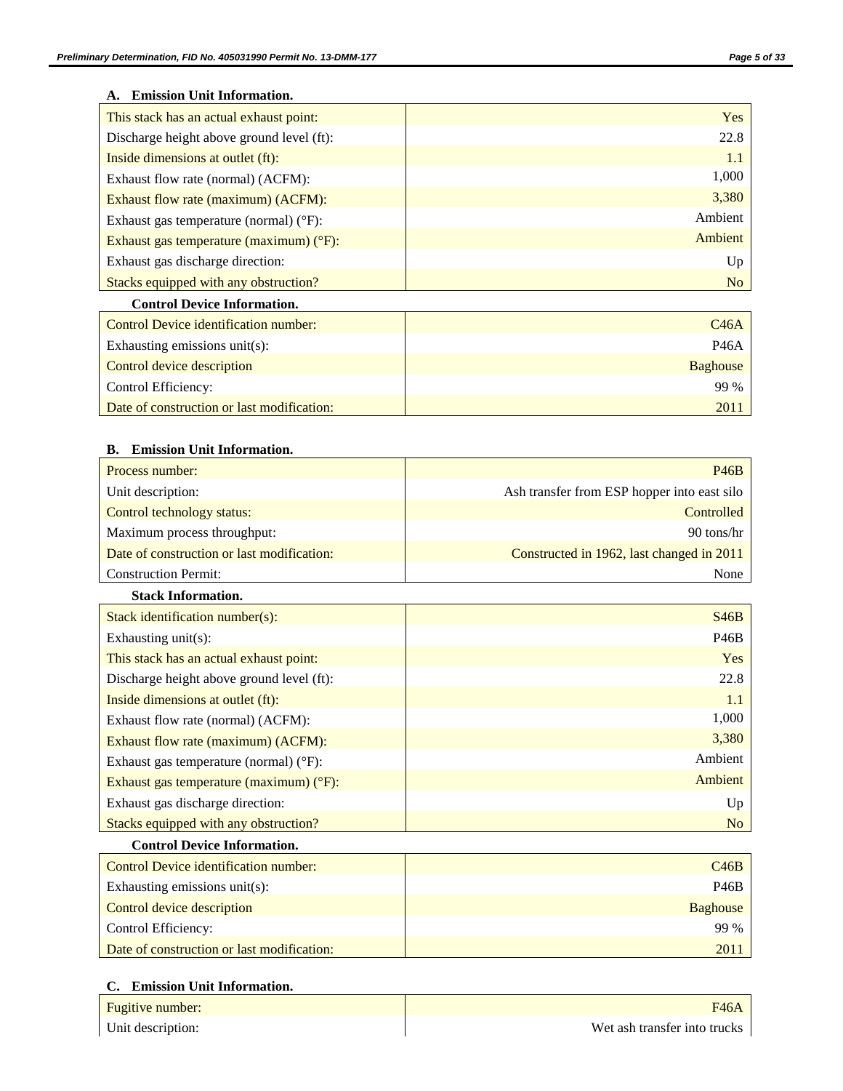## **A. Emission Unit Information.**

| This stack has an actual exhaust point:           | Yes            |
|---------------------------------------------------|----------------|
| Discharge height above ground level (ft):         | 22.8           |
| Inside dimensions at outlet (ft):                 | 1.1            |
| Exhaust flow rate (normal) (ACFM):                | 1,000          |
| Exhaust flow rate (maximum) (ACFM):               | 3,380          |
| Exhaust gas temperature (normal) $(^{\circ}F)$ :  | Ambient        |
| Exhaust gas temperature (maximum) $(^{\circ}F)$ : | Ambient        |
| Exhaust gas discharge direction:                  | Up             |
| Stacks equipped with any obstruction?             | N <sub>o</sub> |

## **Control Device Information.**

| Control Device identification number:      | C <sub>46</sub> A |
|--------------------------------------------|-------------------|
| Exhausting emissions unit(s):              | P46A              |
| Control device description                 | Baghouse          |
| Control Efficiency:                        | 99 %              |
| Date of construction or last modification: | 201               |

## **B. Emission Unit Information.**

| Process number:                            | P46B                                        |
|--------------------------------------------|---------------------------------------------|
| Unit description:                          | Ash transfer from ESP hopper into east silo |
| Control technology status:                 | Controlled                                  |
| Maximum process throughput:                | 90 tons/hr                                  |
| Date of construction or last modification: | Constructed in 1962, last changed in 2011   |
| <b>Construction Permit:</b>                | None                                        |

#### **Stack Information.**

| Stack identification number( $s$ ):               | <b>S46B</b>    |
|---------------------------------------------------|----------------|
| Exhausting $unit(s)$ :                            | <b>P46B</b>    |
| This stack has an actual exhaust point:           | Yes            |
| Discharge height above ground level (ft):         | 22.8           |
| Inside dimensions at outlet (ft):                 | 1.1            |
| Exhaust flow rate (normal) (ACFM):                | 1,000          |
| Exhaust flow rate (maximum) (ACFM):               | 3,380          |
| Exhaust gas temperature (normal) $(^{\circ}F)$ :  | Ambient        |
| Exhaust gas temperature (maximum) $(^{\circ}F)$ : | Ambient        |
| Exhaust gas discharge direction:                  | Up             |
| Stacks equipped with any obstruction?             | N <sub>o</sub> |

## **Control Device Information.**

| Control Device identification number:      | C46B        |
|--------------------------------------------|-------------|
| Exhausting emissions unit(s):              | <b>P46B</b> |
| Control device description                 | Baghouse    |
| Control Efficiency:                        | 99 %        |
| Date of construction or last modification: | 2011        |

## **C. Emission Unit Information.**

| Fugitive number:  | <b>F46A</b>                  |
|-------------------|------------------------------|
| Unit description: | Wet ash transfer into trucks |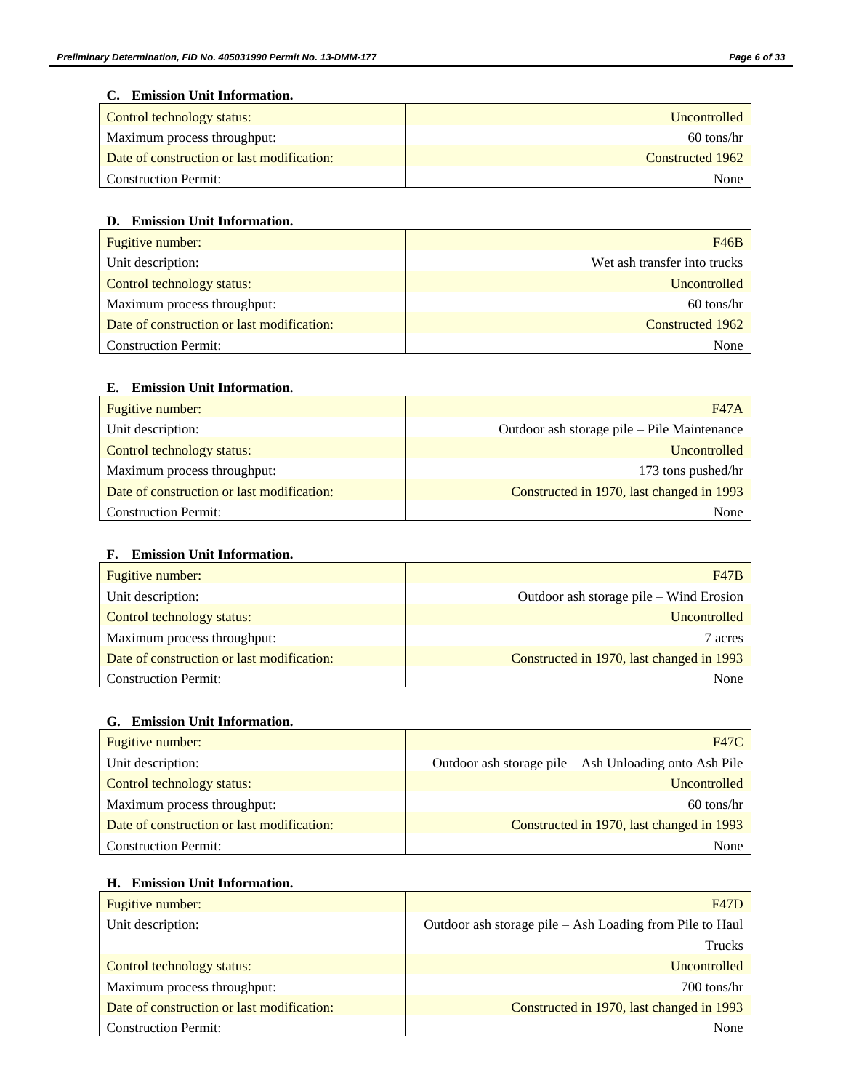## **C. Emission Unit Information.**

| Control technology status:                 | <b>Uncontrolled</b> |
|--------------------------------------------|---------------------|
| Maximum process throughput:                | $60$ tons/hr        |
| Date of construction or last modification: | Constructed 1962    |
| <b>Construction Permit:</b>                | None                |

## **D. Emission Unit Information.**

| Fugitive number:                           | F46B                         |
|--------------------------------------------|------------------------------|
| Unit description:                          | Wet ash transfer into trucks |
| Control technology status:                 | Uncontrolled                 |
| Maximum process throughput:                | $60$ tons/hr                 |
| Date of construction or last modification: | Constructed 1962             |
| <b>Construction Permit:</b>                | None                         |

## **E. Emission Unit Information.**

| Fugitive number:                           | <b>F47A</b>                                 |
|--------------------------------------------|---------------------------------------------|
| Unit description:                          | Outdoor ash storage pile – Pile Maintenance |
| Control technology status:                 | Uncontrolled                                |
| Maximum process throughput:                | 173 tons pushed/hr                          |
| Date of construction or last modification: | Constructed in 1970, last changed in 1993   |
| <b>Construction Permit:</b>                | None                                        |

## **F. Emission Unit Information.**

| Fugitive number:                           | F47B                                      |
|--------------------------------------------|-------------------------------------------|
| Unit description:                          | Outdoor ash storage pile – Wind Erosion   |
| Control technology status:                 | Uncontrolled                              |
| Maximum process throughput:                | 7 acres                                   |
| Date of construction or last modification: | Constructed in 1970, last changed in 1993 |
| <b>Construction Permit:</b>                | None                                      |

## **G. Emission Unit Information.**

| Fugitive number:                           | <b>F47C</b>                                            |
|--------------------------------------------|--------------------------------------------------------|
| Unit description:                          | Outdoor ash storage pile - Ash Unloading onto Ash Pile |
| Control technology status:                 | Uncontrolled                                           |
| Maximum process throughput:                | $60$ tons/hr                                           |
| Date of construction or last modification: | Constructed in 1970, last changed in 1993              |
| <b>Construction Permit:</b>                | None                                                   |

## **H. Emission Unit Information.**

| Fugitive number:                           | <b>F47D</b>                                              |
|--------------------------------------------|----------------------------------------------------------|
| Unit description:                          | Outdoor ash storage pile – Ash Loading from Pile to Haul |
|                                            | <b>Trucks</b>                                            |
| Control technology status:                 | Uncontrolled                                             |
| Maximum process throughput:                | 700 tons/hr                                              |
| Date of construction or last modification: | Constructed in 1970, last changed in 1993                |
| <b>Construction Permit:</b>                | None                                                     |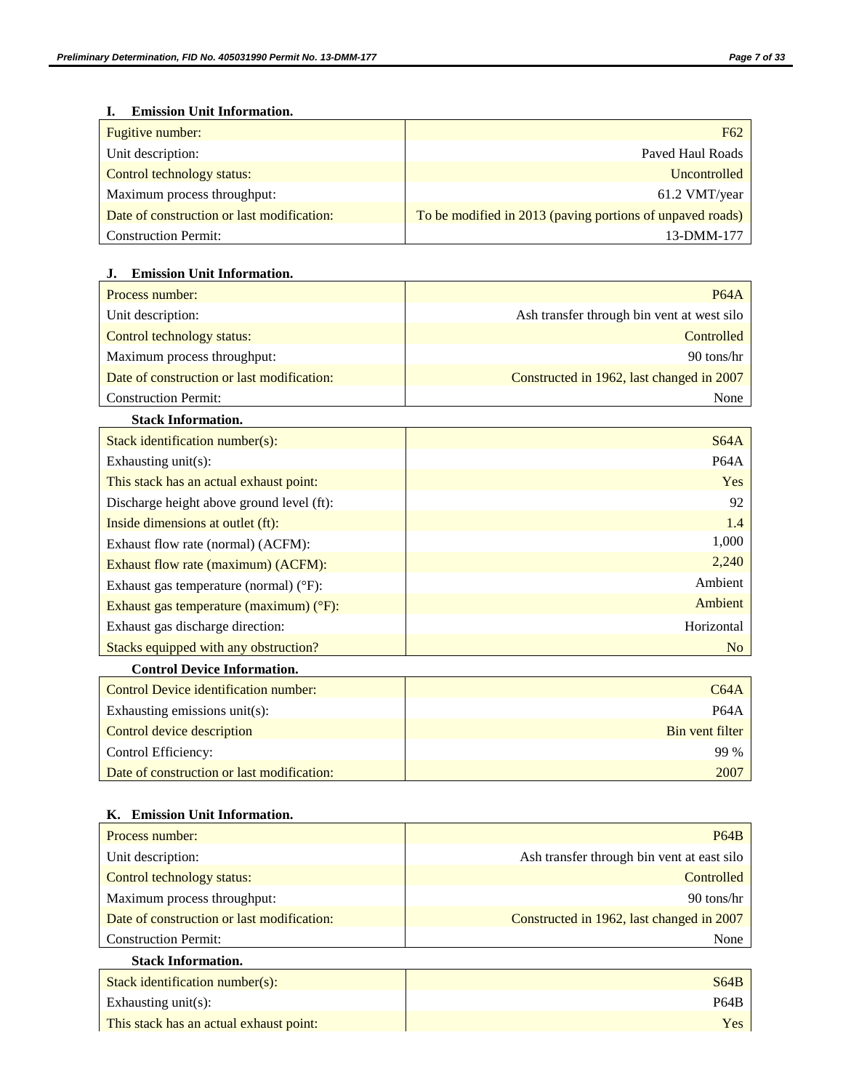## **I. Emission Unit Information.**

| Fugitive number:                           | F <sub>62</sub>                                           |
|--------------------------------------------|-----------------------------------------------------------|
| Unit description:                          | Payed Haul Roads                                          |
| Control technology status:                 | <b>Uncontrolled</b>                                       |
| Maximum process throughput:                | 61.2 VMT/year                                             |
| Date of construction or last modification: | To be modified in 2013 (paving portions of unpaved roads) |
| <b>Construction Permit:</b>                | 13-DMM-177                                                |

## **J. Emission Unit Information.**

| Process number:                            | <b>P64A</b>                                |
|--------------------------------------------|--------------------------------------------|
| Unit description:                          | Ash transfer through bin vent at west silo |
| Control technology status:                 | Controlled                                 |
| Maximum process throughput:                | 90 tons/hr                                 |
| Date of construction or last modification: | Constructed in 1962, last changed in 2007  |
| <b>Construction Permit:</b>                | None                                       |

## **Stack Information.**

| Stack identification number( $s$ ):               | S64A       |
|---------------------------------------------------|------------|
| Exhausting $unit(s)$ :                            | P64A       |
| This stack has an actual exhaust point:           | Yes        |
| Discharge height above ground level (ft):         | 92         |
| Inside dimensions at outlet (ft):                 | 1.4        |
| Exhaust flow rate (normal) (ACFM):                | 1,000      |
| Exhaust flow rate (maximum) (ACFM):               | 2,240      |
| Exhaust gas temperature (normal) $(^{\circ}F)$ :  | Ambient    |
| Exhaust gas temperature (maximum) $(^{\circ}F)$ : | Ambient    |
| Exhaust gas discharge direction:                  | Horizontal |
| Stacks equipped with any obstruction?             | No         |

## **Control Device Information.**

| Control Device identification number:      | C64A            |
|--------------------------------------------|-----------------|
| Exhausting emissions unit(s):              | <b>P64A</b>     |
| Control device description                 | Bin vent filter |
| Control Efficiency:                        | 99 %            |
| Date of construction or last modification: | 2007            |

## **K. Emission Unit Information.**

| Process number:                            | P64B                                       |
|--------------------------------------------|--------------------------------------------|
| Unit description:                          | Ash transfer through bin vent at east silo |
| Control technology status:                 | Controlled                                 |
| Maximum process throughput:                | 90 tons/hr                                 |
| Date of construction or last modification: | Constructed in 1962, last changed in 2007  |
| <b>Construction Permit:</b>                | None                                       |
| <b>Stack Information.</b>                  |                                            |

# Stack identification number(s): S64B Exhausting unit(s): P64B This stack has an actual exhaust point: This stack has an actual exhaust point: Yes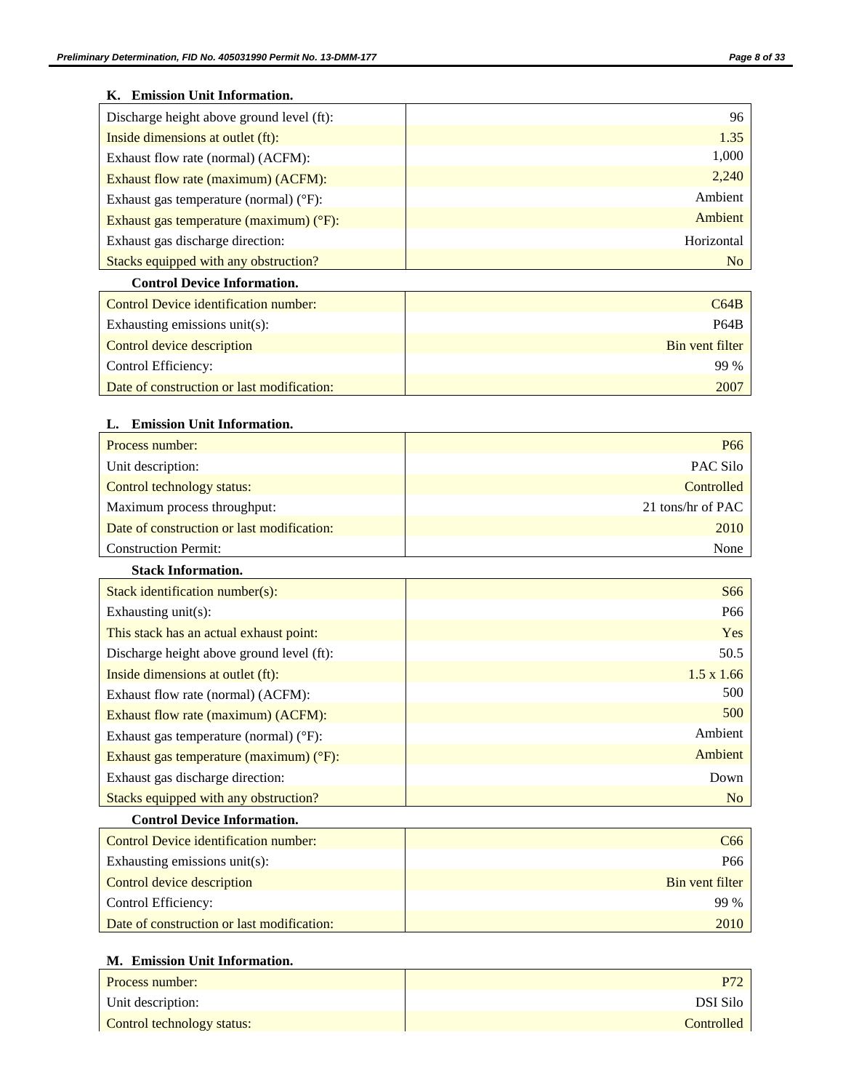## **K. Emission Unit Information.**

| Discharge height above ground level (ft):         | 96         |
|---------------------------------------------------|------------|
| Inside dimensions at outlet (ft):                 | 1.35       |
| Exhaust flow rate (normal) (ACFM):                | 1,000      |
| Exhaust flow rate (maximum) (ACFM):               | 2,240      |
| Exhaust gas temperature (normal) ( $\degree$ F):  | Ambient    |
| Exhaust gas temperature (maximum) $(^{\circ}F)$ : | Ambient    |
| Exhaust gas discharge direction:                  | Horizontal |
| Stacks equipped with any obstruction?             | No         |
|                                                   |            |

## **Control Device Information.**

| Control Device identification number:      | C64B            |
|--------------------------------------------|-----------------|
| Exhausting emissions unit(s):              | P64B            |
| Control device description                 | Bin vent filter |
| Control Efficiency:                        | 99 %            |
| Date of construction or last modification: | 2007            |

## **L. Emission Unit Information.**

| Process number:                                   | P <sub>66</sub>   |
|---------------------------------------------------|-------------------|
| Unit description:                                 | PAC Silo          |
| Control technology status:                        | Controlled        |
| Maximum process throughput:                       | 21 tons/hr of PAC |
| Date of construction or last modification:        | 2010              |
| <b>Construction Permit:</b>                       | None              |
| <b>Stack Information.</b>                         |                   |
| Stack identification number(s):                   | S66               |
| Exhausting $unit(s)$ :                            | P <sub>66</sub>   |
| This stack has an actual exhaust point:           | Yes               |
| Discharge height above ground level (ft):         | 50.5              |
| Inside dimensions at outlet (ft):                 | $1.5 \times 1.66$ |
| Exhaust flow rate (normal) (ACFM):                | 500               |
| Exhaust flow rate (maximum) (ACFM):               | 500               |
| Exhaust gas temperature (normal) $(^{\circ}F)$ :  | Ambient           |
| Exhaust gas temperature (maximum) $(^{\circ}F)$ : | Ambient           |
| Exhaust gas discharge direction:                  | Down              |

## **Control Device Information.**

| Control Device identification number:      | C66                    |
|--------------------------------------------|------------------------|
| Exhausting emissions unit(s):              | P66                    |
| Control device description                 | <b>Bin</b> vent filter |
| Control Efficiency:                        | 99 %                   |
| Date of construction or last modification: | 2010                   |

Stacks equipped with any obstruction?

## **M. Emission Unit Information.**

| Process number:            | P77        |
|----------------------------|------------|
| Unit description:          | DSI Silo   |
| Control technology status: | Controlled |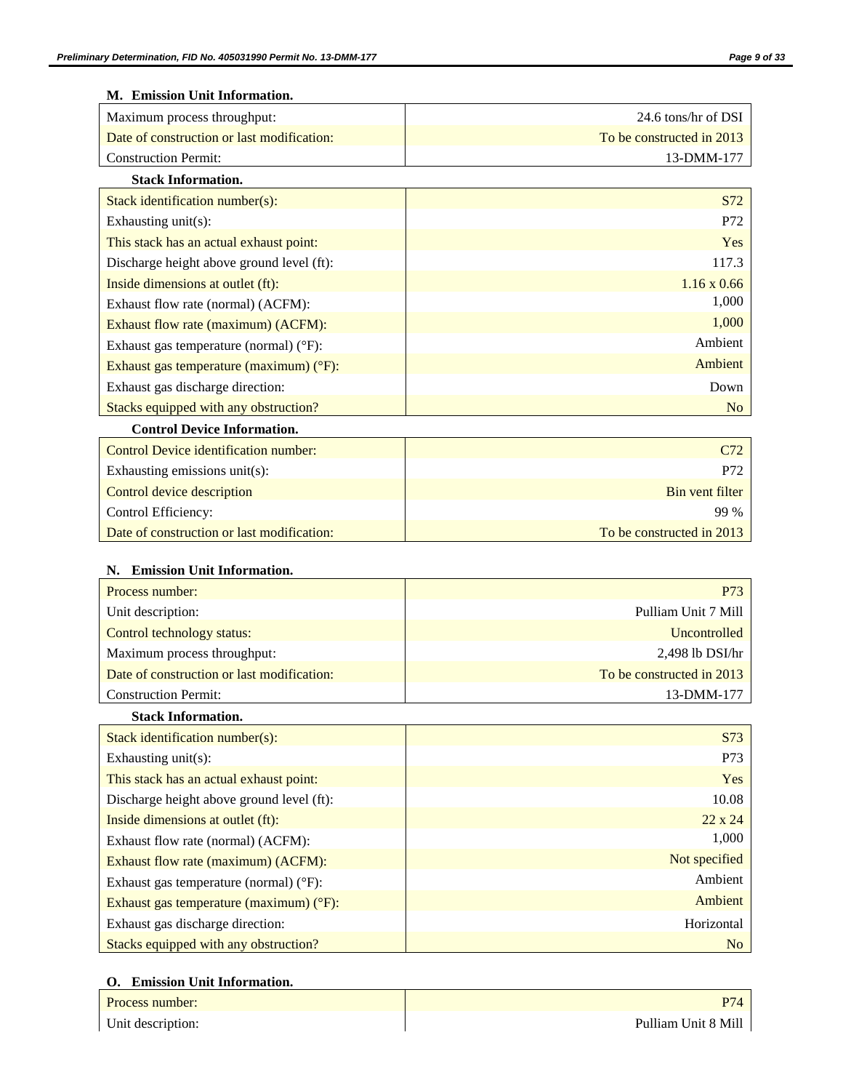| M. Emission Unit Information.              |                           |
|--------------------------------------------|---------------------------|
| Maximum process throughput:                | 24.6 tons/hr of DSI       |
| Date of construction or last modification: | To be constructed in 2013 |
| <b>Construction Permit:</b>                | 13-DMM-177                |
| <b>Stack Information.</b>                  |                           |
| Stack identification number(s):            | S72                       |
| Exhausting unit(s):                        | P72                       |
| This stack has an actual exhaust point:    | Yes                       |
| Discharge height above ground level (ft):  | 117.3                     |
| Inside dimensions at outlet (ft):          | $1.16 \times 0.66$        |
| Exhaust flow rate (normal) (ACFM):         | 1,000                     |
| Exhaust flow rate (maximum) (ACFM):        | 1,000                     |
| Exhaust gas temperature (normal) (°F):     | Ambient                   |
| Exhaust gas temperature (maximum) (°F):    | Ambient                   |
| Exhaust gas discharge direction:           | Down                      |
| Stacks equipped with any obstruction?      | N <sub>o</sub>            |
| <b>Control Device Information.</b>         |                           |
| Control Device identification number:      | C72                       |
| Exhausting emissions unit(s):              | P72                       |
| Control device description                 | <b>Bin vent filter</b>    |
| Control Efficiency:                        | 99 %                      |
| Date of construction or last modification: | To be constructed in 2013 |
|                                            |                           |
| N. Emission Unit Information.              |                           |
| Process number:                            | P73                       |
| Unit description:                          | Pulliam Unit 7 Mill       |
| Control technology status:                 | Uncontrolled              |
| Maximum process throughput:                | 2,498 lb DSI/hr           |
| Date of construction or last modification: | To be constructed in 2013 |
| <b>Construction Permit:</b>                | 13-DMM-177                |
| <b>Stack Information.</b>                  |                           |
| Stack identification number(s):            | S73                       |
| Exhausting unit(s):                        | P73                       |
| This stack has an actual exhaust point:    | Yes                       |
| Discharge height above ground level (ft):  | 10.08                     |
| Inside dimensions at outlet (ft):          | $22 \times 24$            |
| Exhaust flow rate (normal) (ACFM):         | 1,000                     |
| Exhaust flow rate (maximum) (ACFM):        | Not specified             |
| Exhaust gas temperature (normal) (°F):     | Ambient                   |
| Exhaust gas temperature (maximum) (°F):    | Ambient                   |
| Exhaust gas discharge direction:           | Horizontal                |
| Stacks equipped with any obstruction?      | No                        |

## **O. Emission Unit Information.**

| Process number:   |                     |
|-------------------|---------------------|
| Unit description: | Pulliam Unit 8 Mill |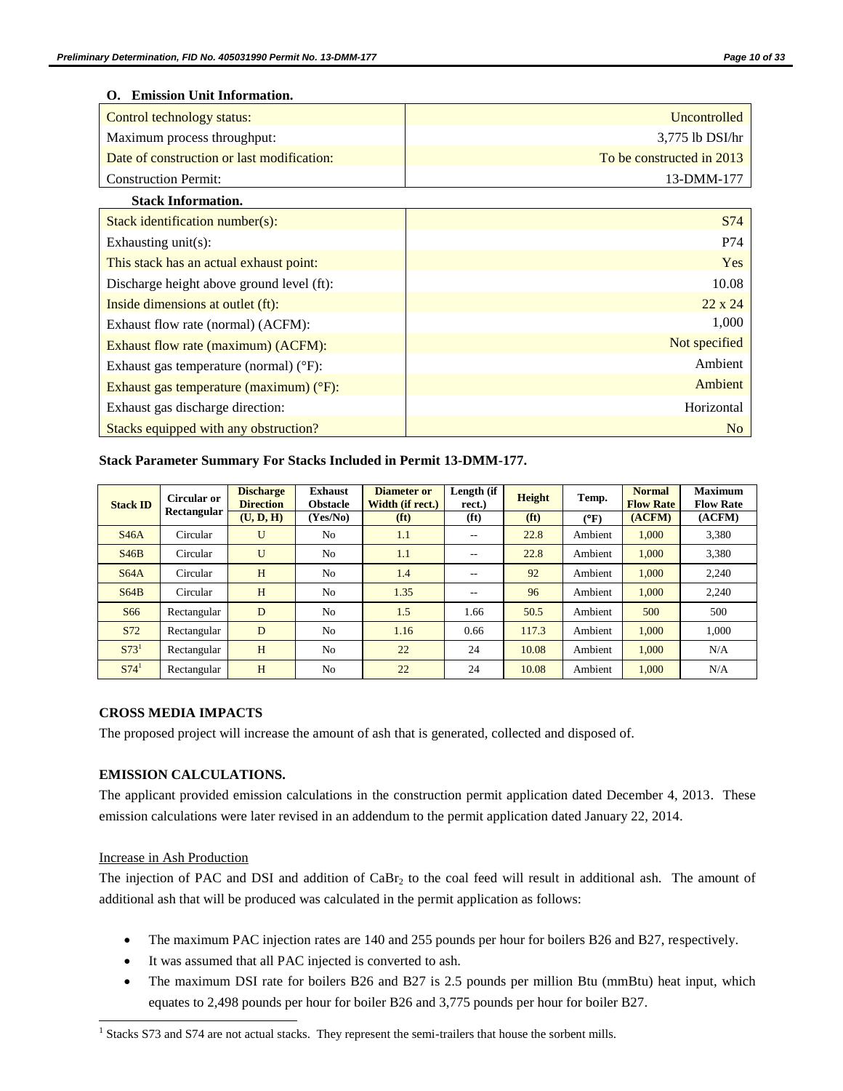### **O. Emission Unit Information.**

| Control technology status:                        | Uncontrolled              |
|---------------------------------------------------|---------------------------|
| Maximum process throughput:                       | 3,775 lb DSI/hr           |
| Date of construction or last modification:        | To be constructed in 2013 |
| <b>Construction Permit:</b>                       | 13-DMM-177                |
| <b>Stack Information.</b>                         |                           |
| Stack identification number(s):                   | S74                       |
| Exhausting unit(s):                               | P74                       |
| This stack has an actual exhaust point:           | Yes                       |
| Discharge height above ground level (ft):         | 10.08                     |
| Inside dimensions at outlet (ft):                 | $22 \times 24$            |
| Exhaust flow rate (normal) (ACFM):                | 1,000                     |
| Exhaust flow rate (maximum) (ACFM):               | Not specified             |
| Exhaust gas temperature (normal) $(^{\circ}F)$ :  | Ambient                   |
| Exhaust gas temperature (maximum) $(^{\circ}F)$ : | Ambient                   |
| Exhaust gas discharge direction:                  | Horizontal                |
| Stacks equipped with any obstruction?             | N <sub>o</sub>            |

## **Stack Parameter Summary For Stacks Included in Permit 13-DMM-177.**

| <b>Stack ID</b>  | Circular or<br>Rectangular | <b>Discharge</b><br><b>Direction</b> | <b>Exhaust</b><br><b>Obstacle</b> | <b>Diameter or</b><br>Width (if rect.) | Length (if<br>rect.) | <b>Height</b>     | Temp.      | <b>Normal</b><br><b>Flow Rate</b> | <b>Maximum</b><br><b>Flow Rate</b> |
|------------------|----------------------------|--------------------------------------|-----------------------------------|----------------------------------------|----------------------|-------------------|------------|-----------------------------------|------------------------------------|
|                  |                            | (U, D, H)                            | (Yes/No)                          | (f <sup>t</sup> )                      | (f <sub>t</sub> )    | (f <sup>t</sup> ) | $\rm (°F)$ | (ACFM)                            | (ACFM)                             |
| S46A             | Circular                   | U                                    | N <sub>o</sub>                    | 1.1                                    | $- -$                | 22.8              | Ambient    | 1.000                             | 3,380                              |
| S46B             | Circular                   | U                                    | No                                | 1.1                                    | $-$                  | 22.8              | Ambient    | 1.000                             | 3,380                              |
| S64A             | Circular                   | H                                    | N <sub>o</sub>                    | 1.4                                    | $- -$                | 92                | Ambient    | 1,000                             | 2,240                              |
| S64B             | Circular                   | H                                    | N <sub>o</sub>                    | 1.35                                   | $-$                  | 96                | Ambient    | 1.000                             | 2.240                              |
| S <sub>66</sub>  | Rectangular                | D                                    | N <sub>o</sub>                    | 1.5                                    | 1.66                 | 50.5              | Ambient    | 500                               | 500                                |
| S72              | Rectangular                | D                                    | N <sub>o</sub>                    | 1.16                                   | 0.66                 | 117.3             | Ambient    | 1,000                             | 1,000                              |
| S73 <sup>1</sup> | Rectangular                | H                                    | N <sub>o</sub>                    | 22                                     | 24                   | 10.08             | Ambient    | 1.000                             | N/A                                |
| S74 <sup>1</sup> | Rectangular                | H                                    | N <sub>o</sub>                    | 22                                     | 24                   | 10.08             | Ambient    | 1,000                             | N/A                                |

## <span id="page-9-0"></span>**CROSS MEDIA IMPACTS**

The proposed project will increase the amount of ash that is generated, collected and disposed of.

## **EMISSION CALCULATIONS.**

The applicant provided emission calculations in the construction permit application dated December 4, 2013. These emission calculations were later revised in an addendum to the permit application dated January 22, 2014.

#### Increase in Ash Production

 $\overline{\phantom{a}}$ 

The injection of PAC and DSI and addition of CaBr<sub>2</sub> to the coal feed will result in additional ash. The amount of additional ash that will be produced was calculated in the permit application as follows:

- The maximum PAC injection rates are 140 and 255 pounds per hour for boilers B26 and B27, respectively.
- It was assumed that all PAC injected is converted to ash.
- The maximum DSI rate for boilers B26 and B27 is 2.5 pounds per million Btu (mmBtu) heat input, which equates to 2,498 pounds per hour for boiler B26 and 3,775 pounds per hour for boiler B27.

 $<sup>1</sup>$  Stacks S73 and S74 are not actual stacks. They represent the semi-trailers that house the sorbent mills.</sup>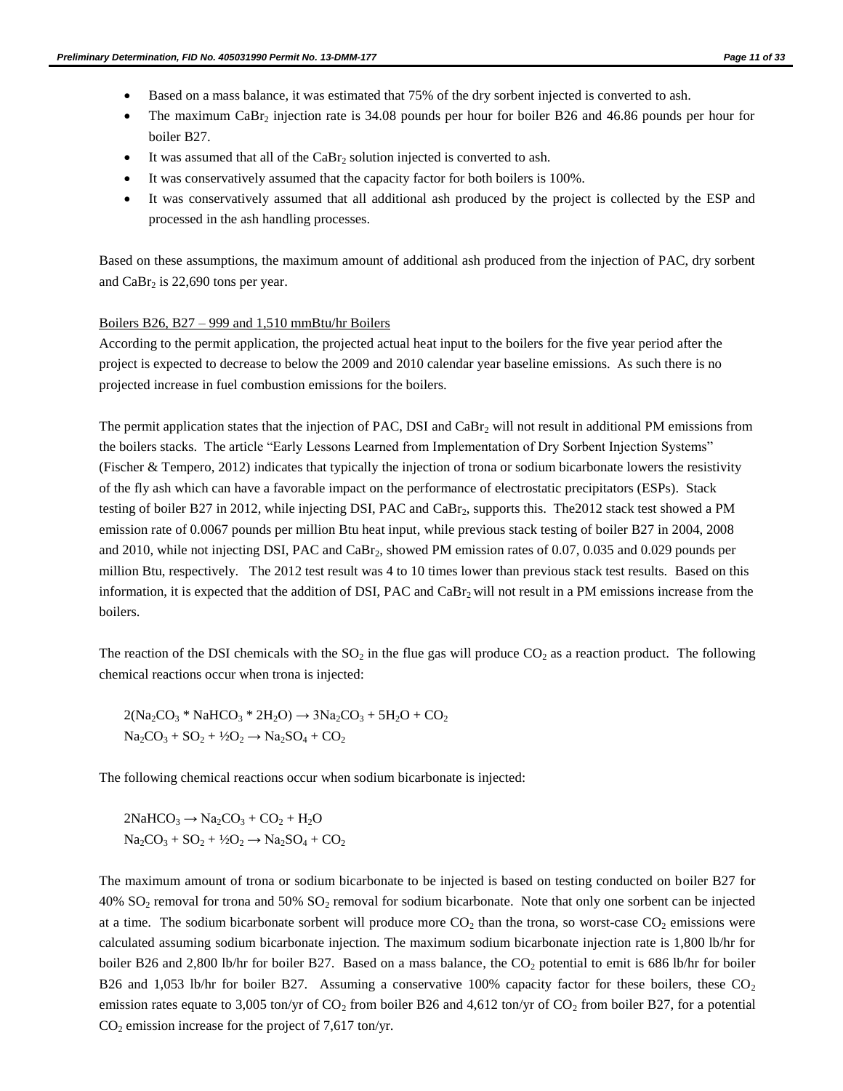- Based on a mass balance, it was estimated that 75% of the dry sorbent injected is converted to ash.
- The maximum CaBr<sub>2</sub> injection rate is 34.08 pounds per hour for boiler B26 and 46.86 pounds per hour for boiler B27.
- It was assumed that all of the  $CaBr<sub>2</sub>$  solution injected is converted to ash.
- It was conservatively assumed that the capacity factor for both boilers is 100%.
- It was conservatively assumed that all additional ash produced by the project is collected by the ESP and processed in the ash handling processes.

Based on these assumptions, the maximum amount of additional ash produced from the injection of PAC, dry sorbent and  $CaBr<sub>2</sub>$  is 22,690 tons per year.

#### Boilers B26, B27 – 999 and 1,510 mmBtu/hr Boilers

According to the permit application, the projected actual heat input to the boilers for the five year period after the project is expected to decrease to below the 2009 and 2010 calendar year baseline emissions. As such there is no projected increase in fuel combustion emissions for the boilers.

The permit application states that the injection of PAC, DSI and  $CaBr<sub>2</sub>$  will not result in additional PM emissions from the boilers stacks. The article "Early Lessons Learned from Implementation of Dry Sorbent Injection Systems" (Fischer & Tempero, 2012) indicates that typically the injection of trona or sodium bicarbonate lowers the resistivity of the fly ash which can have a favorable impact on the performance of electrostatic precipitators (ESPs). Stack testing of boiler B27 in 2012, while injecting DSI, PAC and CaBr<sub>2</sub>, supports this. The 2012 stack test showed a PM emission rate of 0.0067 pounds per million Btu heat input, while previous stack testing of boiler B27 in 2004, 2008 and 2010, while not injecting DSI, PAC and CaBr<sub>2</sub>, showed PM emission rates of 0.07, 0.035 and 0.029 pounds per million Btu, respectively. The 2012 test result was 4 to 10 times lower than previous stack test results. Based on this information, it is expected that the addition of DSI, PAC and CaBr<sub>2</sub> will not result in a PM emissions increase from the boilers.

The reaction of the DSI chemicals with the  $SO_2$  in the flue gas will produce  $CO_2$  as a reaction product. The following chemical reactions occur when trona is injected:

$$
2(Na_2CO_3 * NaHCO_3 * 2H_2O) \rightarrow 3Na_2CO_3 + 5H_2O + CO_2
$$
  

$$
Na_2CO_3 + SO_2 + \frac{1}{2}O_2 \rightarrow Na_2SO_4 + CO_2
$$

The following chemical reactions occur when sodium bicarbonate is injected:

 $2NAHCO<sub>3</sub> \rightarrow Na<sub>2</sub>CO<sub>3</sub> + CO<sub>2</sub> + H<sub>2</sub>O$  $Na_2CO_3 + SO_2 + \frac{1}{2}O_2 \rightarrow Na_2SO_4 + CO_2$ 

The maximum amount of trona or sodium bicarbonate to be injected is based on testing conducted on boiler B27 for 40%  $SO_2$  removal for trona and 50%  $SO_2$  removal for sodium bicarbonate. Note that only one sorbent can be injected at a time. The sodium bicarbonate sorbent will produce more  $CO<sub>2</sub>$  than the trona, so worst-case  $CO<sub>2</sub>$  emissions were calculated assuming sodium bicarbonate injection. The maximum sodium bicarbonate injection rate is 1,800 lb/hr for boiler B26 and 2,800 lb/hr for boiler B27. Based on a mass balance, the  $CO<sub>2</sub>$  potential to emit is 686 lb/hr for boiler B26 and 1,053 lb/hr for boiler B27. Assuming a conservative 100% capacity factor for these boilers, these  $CO<sub>2</sub>$ emission rates equate to 3,005 ton/yr of  $CO_2$  from boiler B26 and 4,612 ton/yr of  $CO_2$  from boiler B27, for a potential  $CO<sub>2</sub>$  emission increase for the project of 7,617 ton/yr.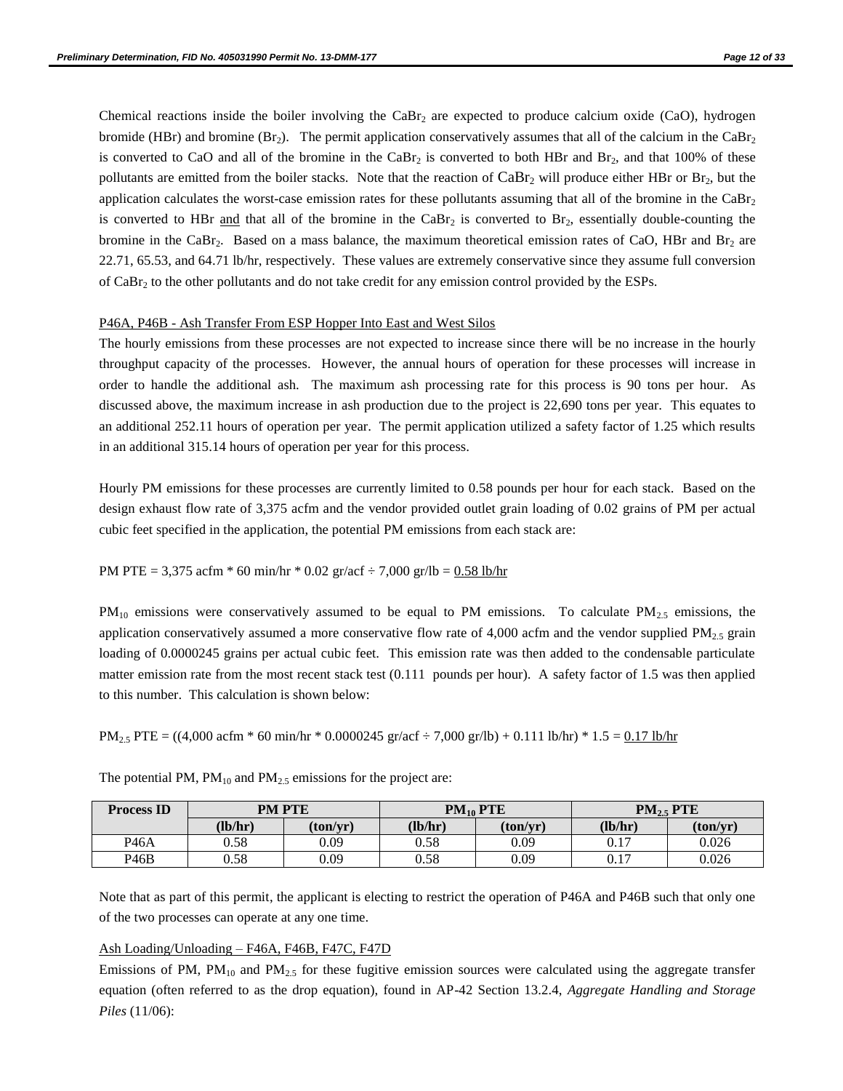Chemical reactions inside the boiler involving the  $CaBr<sub>2</sub>$  are expected to produce calcium oxide (CaO), hydrogen bromide (HBr) and bromine (Br<sub>2</sub>). The permit application conservatively assumes that all of the calcium in the CaBr<sub>2</sub> is converted to CaO and all of the bromine in the  $CaBr<sub>2</sub>$  is converted to both HBr and  $Br<sub>2</sub>$ , and that 100% of these pollutants are emitted from the boiler stacks. Note that the reaction of  $CaBr<sub>2</sub>$  will produce either HBr or Br<sub>2</sub>, but the application calculates the worst-case emission rates for these pollutants assuming that all of the bromine in the  $CaBr<sub>2</sub>$ is converted to HBr and that all of the bromine in the CaBr<sub>2</sub> is converted to Br<sub>2</sub>, essentially double-counting the bromine in the CaBr<sub>2</sub>. Based on a mass balance, the maximum theoretical emission rates of CaO, HBr and Br<sub>2</sub> are 22.71, 65.53, and 64.71 lb/hr, respectively. These values are extremely conservative since they assume full conversion of CaBr<sub>2</sub> to the other pollutants and do not take credit for any emission control provided by the ESPs.

#### P46A, P46B - Ash Transfer From ESP Hopper Into East and West Silos

The hourly emissions from these processes are not expected to increase since there will be no increase in the hourly throughput capacity of the processes. However, the annual hours of operation for these processes will increase in order to handle the additional ash. The maximum ash processing rate for this process is 90 tons per hour. As discussed above, the maximum increase in ash production due to the project is 22,690 tons per year. This equates to an additional 252.11 hours of operation per year. The permit application utilized a safety factor of 1.25 which results in an additional 315.14 hours of operation per year for this process.

Hourly PM emissions for these processes are currently limited to 0.58 pounds per hour for each stack. Based on the design exhaust flow rate of 3,375 acfm and the vendor provided outlet grain loading of 0.02 grains of PM per actual cubic feet specified in the application, the potential PM emissions from each stack are:

#### PM PTE = 3,375 acfm  $*$  60 min/hr  $*$  0.02 gr/acf  $\div$  7,000 gr/lb = 0.58 lb/hr

 $PM_{10}$  emissions were conservatively assumed to be equal to PM emissions. To calculate  $PM_{2.5}$  emissions, the application conservatively assumed a more conservative flow rate of 4,000 acfm and the vendor supplied  $PM_{2.5}$  grain loading of 0.0000245 grains per actual cubic feet. This emission rate was then added to the condensable particulate matter emission rate from the most recent stack test (0.111 pounds per hour). A safety factor of 1.5 was then applied to this number. This calculation is shown below:

 $PM_{2.5}$  PTE = ((4,000 acfm  $*$  60 min/hr  $*$  0.0000245 gr/acf  $\div$  7,000 gr/lb) + 0.111 lb/hr)  $*$  1.5 = 0.17 lb/hr

| <b>Process ID</b> | <b>PM PTE</b> |          |         | $PM_{10}$ PTE | PM <sub>2.5</sub> PTE |          |
|-------------------|---------------|----------|---------|---------------|-----------------------|----------|
|                   | (lb/hr)       | (ton/vr) | (lb/hr) | (ton/vr)      | (lb/hr)               | (ton/vr) |
| P46A              | 0.58          | 0.09     | 0.58    | 0.09          | 0.17                  | 0.026    |
| P <sub>46</sub> B | 0.58          | 0.09     | 0.58    | 0.09          | 0.17                  | 0.026    |

The potential PM,  $PM_{10}$  and  $PM_{2.5}$  emissions for the project are:

Note that as part of this permit, the applicant is electing to restrict the operation of P46A and P46B such that only one of the two processes can operate at any one time.

#### Ash Loading/Unloading – F46A, F46B, F47C, F47D

Emissions of PM,  $PM_{10}$  and  $PM_{2.5}$  for these fugitive emission sources were calculated using the aggregate transfer equation (often referred to as the drop equation), found in AP-42 Section 13.2.4, *Aggregate Handling and Storage Piles* (11/06):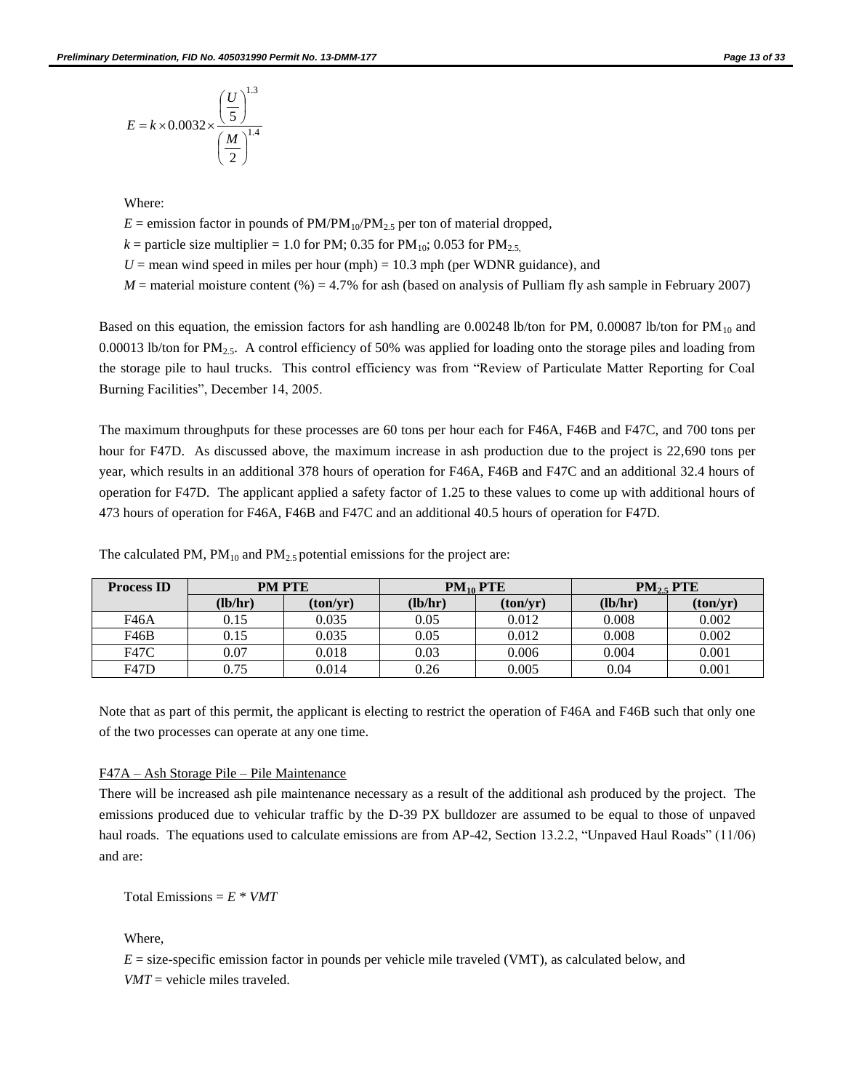$$
E = k \times 0.0032 \times \frac{\left(\frac{U}{5}\right)^{1.3}}{\left(\frac{M}{2}\right)^{1.4}}
$$

Where:

- $E =$  emission factor in pounds of  $PM/PM_{10}/PM_{2.5}$  per ton of material dropped,
- $k =$  particle size multiplier = 1.0 for PM; 0.35 for PM<sub>10</sub>; 0.053 for PM<sub>2.5</sub>,
- $U =$  mean wind speed in miles per hour (mph) = 10.3 mph (per WDNR guidance), and
- $M =$  material moisture content (%) = 4.7% for ash (based on analysis of Pulliam fly ash sample in February 2007)

Based on this equation, the emission factors for ash handling are 0.00248 lb/ton for PM, 0.00087 lb/ton for PM<sub>10</sub> and 0.00013 lb/ton for  $PM_{2.5}$ . A control efficiency of 50% was applied for loading onto the storage piles and loading from the storage pile to haul trucks. This control efficiency was from "Review of Particulate Matter Reporting for Coal Burning Facilities", December 14, 2005.

The maximum throughputs for these processes are 60 tons per hour each for F46A, F46B and F47C, and 700 tons per hour for F47D. As discussed above, the maximum increase in ash production due to the project is 22,690 tons per year, which results in an additional 378 hours of operation for F46A, F46B and F47C and an additional 32.4 hours of operation for F47D. The applicant applied a safety factor of 1.25 to these values to come up with additional hours of 473 hours of operation for F46A, F46B and F47C and an additional 40.5 hours of operation for F47D.

| <b>Process ID</b> | <b>PM PTE</b> |          |         | $PM_{10}$ PTE | $PM_{2.5}$ PTE |          |  |
|-------------------|---------------|----------|---------|---------------|----------------|----------|--|
|                   | (lb/hr)       | (ton/yr) | (lb/hr) | (ton/yr)      | (lb/hr)        | (ton/yr) |  |
| F46A              | 0.15          | 0.035    | 0.05    | 0.012         | 0.008          | 0.002    |  |
| F46B              | 0.15          | 0.035    | 0.05    | 0.012         | 0.008          | 0.002    |  |
| F47C              | 0.07          | 0.018    | 0.03    | 0.006         | 0.004          | 0.001    |  |
| <b>F47D</b>       | 0.75          | 0.014    | 0.26    | 0.005         | 0.04           | 0.001    |  |

The calculated PM,  $PM_{10}$  and  $PM_{2.5}$  potential emissions for the project are:

Note that as part of this permit, the applicant is electing to restrict the operation of F46A and F46B such that only one of the two processes can operate at any one time.

#### F47A – Ash Storage Pile – Pile Maintenance

There will be increased ash pile maintenance necessary as a result of the additional ash produced by the project. The emissions produced due to vehicular traffic by the D-39 PX bulldozer are assumed to be equal to those of unpaved haul roads. The equations used to calculate emissions are from AP-42, Section 13.2.2, "Unpaved Haul Roads" (11/06) and are:

Total Emissions =  $E * VMT$ 

Where,

 $E =$  size-specific emission factor in pounds per vehicle mile traveled (VMT), as calculated below, and  $VMT$  = vehicle miles traveled.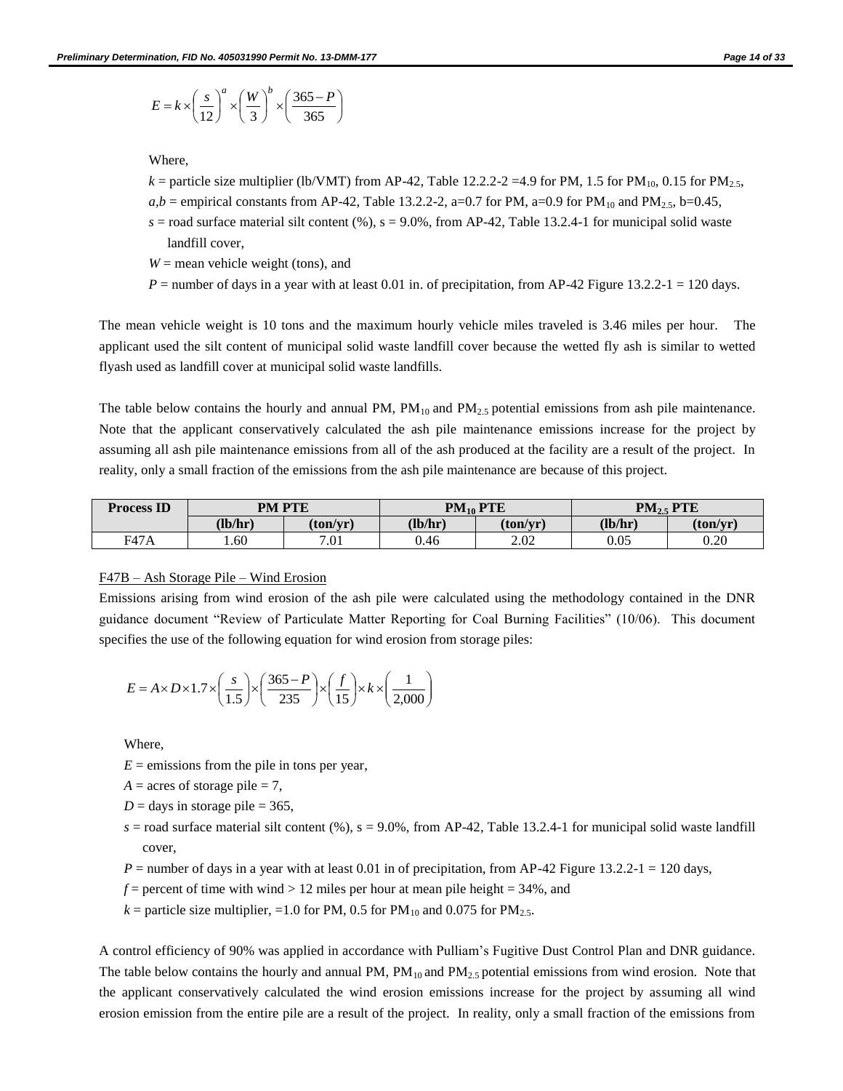$$
E = k \times \left(\frac{s}{12}\right)^a \times \left(\frac{W}{3}\right)^b \times \left(\frac{365 - P}{365}\right)
$$

Where,

- *k* = particle size multiplier (lb/VMT) from AP-42, Table 12.2.2-2 = 4.9 for PM, 1.5 for PM<sub>10</sub>, 0.15 for PM<sub>2.5</sub>,
- *a,b* = empirical constants from AP-42, Table 13.2.2-2, a=0.7 for PM, a=0.9 for PM<sub>10</sub> and PM<sub>2.5</sub>, b=0.45,
- $s =$  road surface material silt content (%),  $s = 9.0\%$ , from AP-42, Table 13.2.4-1 for municipal solid waste landfill cover,
- $W =$  mean vehicle weight (tons), and
- $P =$  number of days in a year with at least 0.01 in. of precipitation, from AP-42 Figure 13.2.2-1 = 120 days.

The mean vehicle weight is 10 tons and the maximum hourly vehicle miles traveled is 3.46 miles per hour. The applicant used the silt content of municipal solid waste landfill cover because the wetted fly ash is similar to wetted flyash used as landfill cover at municipal solid waste landfills.

The table below contains the hourly and annual PM,  $PM_{10}$  and  $PM_{2.5}$  potential emissions from ash pile maintenance. Note that the applicant conservatively calculated the ash pile maintenance emissions increase for the project by assuming all ash pile maintenance emissions from all of the ash produced at the facility are a result of the project. In reality, only a small fraction of the emissions from the ash pile maintenance are because of this project.

| <b>Process ID</b> | <b>PM PTE</b> |          | $PM_{10}$ PTE |          | <b>PTE</b><br>$PM_{25}$ |          |
|-------------------|---------------|----------|---------------|----------|-------------------------|----------|
|                   | (lb/hr)       | (ton/vr) | (lb/hr)       | (ton/vr) | (lb/hr)                 | (ton/vr) |
| <b>F47A</b>       | . .60         | 7.01     | 0.46          | 2.02     | 0.05                    | 0.20     |

### F47B – Ash Storage Pile – Wind Erosion

Emissions arising from wind erosion of the ash pile were calculated using the methodology contained in the DNR guidance document "Review of Particulate Matter Reporting for Coal Burning Facilities" (10/06). This document specifies the use of the following equation for wind erosion from storage piles:

$$
E = A \times D \times 1.7 \times \left(\frac{s}{1.5}\right) \times \left(\frac{365 - P}{235}\right) \times \left(\frac{f}{15}\right) \times k \times \left(\frac{1}{2,000}\right)
$$

Where,

- $E =$  emissions from the pile in tons per year,
- $A = \text{acres of storage pile} = 7$ ,
- $D =$  days in storage pile = 365,
- $s =$  road surface material silt content (%),  $s = 9.0\%$ , from AP-42, Table 13.2.4-1 for municipal solid waste landfill cover,
- $P =$  number of days in a year with at least 0.01 in of precipitation, from AP-42 Figure 13.2.2-1 = 120 days,
- $f =$  percent of time with wind > 12 miles per hour at mean pile height = 34%, and
- $k =$  particle size multiplier, =1.0 for PM, 0.5 for PM<sub>10</sub> and 0.075 for PM<sub>2.5</sub>.

A control efficiency of 90% was applied in accordance with Pulliam's Fugitive Dust Control Plan and DNR guidance. The table below contains the hourly and annual PM,  $PM_{10}$  and  $PM_{2.5}$  potential emissions from wind erosion. Note that the applicant conservatively calculated the wind erosion emissions increase for the project by assuming all wind erosion emission from the entire pile are a result of the project. In reality, only a small fraction of the emissions from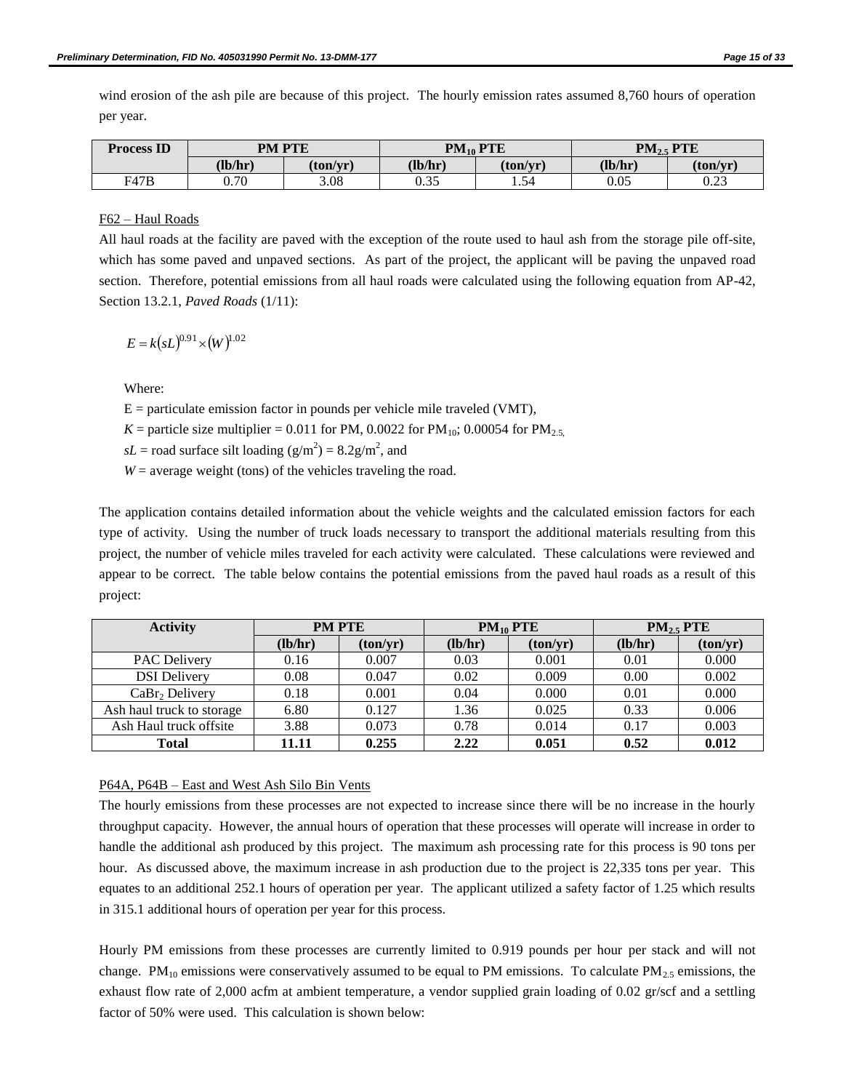wind erosion of the ash pile are because of this project. The hourly emission rates assumed 8,760 hours of operation per year.

| <b>Process ID</b> | <b>PM PTE</b> |          | $PM_{10}$ PTE |          | PM <sub>2.5</sub> PTE |          |
|-------------------|---------------|----------|---------------|----------|-----------------------|----------|
|                   | (lb/hr)       | (ton/vr) | (lb/hr)       | (ton/vr` | (lb/hr)               | (ton/yr) |
| F47B              | 0.70          | 3.08     | O 25<br>U.JJ  | 1.54     | 0.05                  | 0.23     |

### F62 – Haul Roads

All haul roads at the facility are paved with the exception of the route used to haul ash from the storage pile off-site, which has some paved and unpaved sections. As part of the project, the applicant will be paving the unpaved road section. Therefore, potential emissions from all haul roads were calculated using the following equation from AP-42, Section 13.2.1, *Paved Roads* (1/11):

$$
E = k(sL)^{0.91} \times (W)^{1.02}
$$

Where:

 $E =$  particulate emission factor in pounds per vehicle mile traveled (VMT),

*K* = particle size multiplier = 0.011 for PM, 0.0022 for PM<sub>10</sub>; 0.00054 for PM<sub>2.5</sub>

 $sL$  = road surface silt loading ( $g/m^2$ ) = 8.2g/m<sup>2</sup>, and

 $W =$  average weight (tons) of the vehicles traveling the road.

The application contains detailed information about the vehicle weights and the calculated emission factors for each type of activity. Using the number of truck loads necessary to transport the additional materials resulting from this project, the number of vehicle miles traveled for each activity were calculated. These calculations were reviewed and appear to be correct. The table below contains the potential emissions from the paved haul roads as a result of this project:

| <b>Activity</b>           | <b>PM PTE</b> |          |         | $PM_{10}$ PTE | $PM_{2.5}$ PTE |          |
|---------------------------|---------------|----------|---------|---------------|----------------|----------|
|                           | (lb/hr)       | (ton/yr) | (lb/hr) | (ton/yr)      | (lb/hr)        | (ton/yr) |
| <b>PAC Delivery</b>       | 0.16          | 0.007    | 0.03    | 0.001         | 0.01           | 0.000    |
| <b>DSI</b> Delivery       | 0.08          | 0.047    | 0.02    | 0.009         | 0.00           | 0.002    |
| $CaBr2$ Delivery          | 0.18          | 0.001    | 0.04    | 0.000         | 0.01           | 0.000    |
| Ash haul truck to storage | 6.80          | 0.127    | 1.36    | 0.025         | 0.33           | 0.006    |
| Ash Haul truck offsite    | 3.88          | 0.073    | 0.78    | 0.014         | 0.17           | 0.003    |
| Total                     | 11.11         | 0.255    | 2.22    | 0.051         | 0.52           | 0.012    |

#### P64A, P64B – East and West Ash Silo Bin Vents

The hourly emissions from these processes are not expected to increase since there will be no increase in the hourly throughput capacity. However, the annual hours of operation that these processes will operate will increase in order to handle the additional ash produced by this project. The maximum ash processing rate for this process is 90 tons per hour. As discussed above, the maximum increase in ash production due to the project is 22,335 tons per year. This equates to an additional 252.1 hours of operation per year. The applicant utilized a safety factor of 1.25 which results in 315.1 additional hours of operation per year for this process.

Hourly PM emissions from these processes are currently limited to 0.919 pounds per hour per stack and will not change. PM<sub>10</sub> emissions were conservatively assumed to be equal to PM emissions. To calculate PM<sub>2.5</sub> emissions, the exhaust flow rate of 2,000 acfm at ambient temperature, a vendor supplied grain loading of 0.02 gr/scf and a settling factor of 50% were used. This calculation is shown below: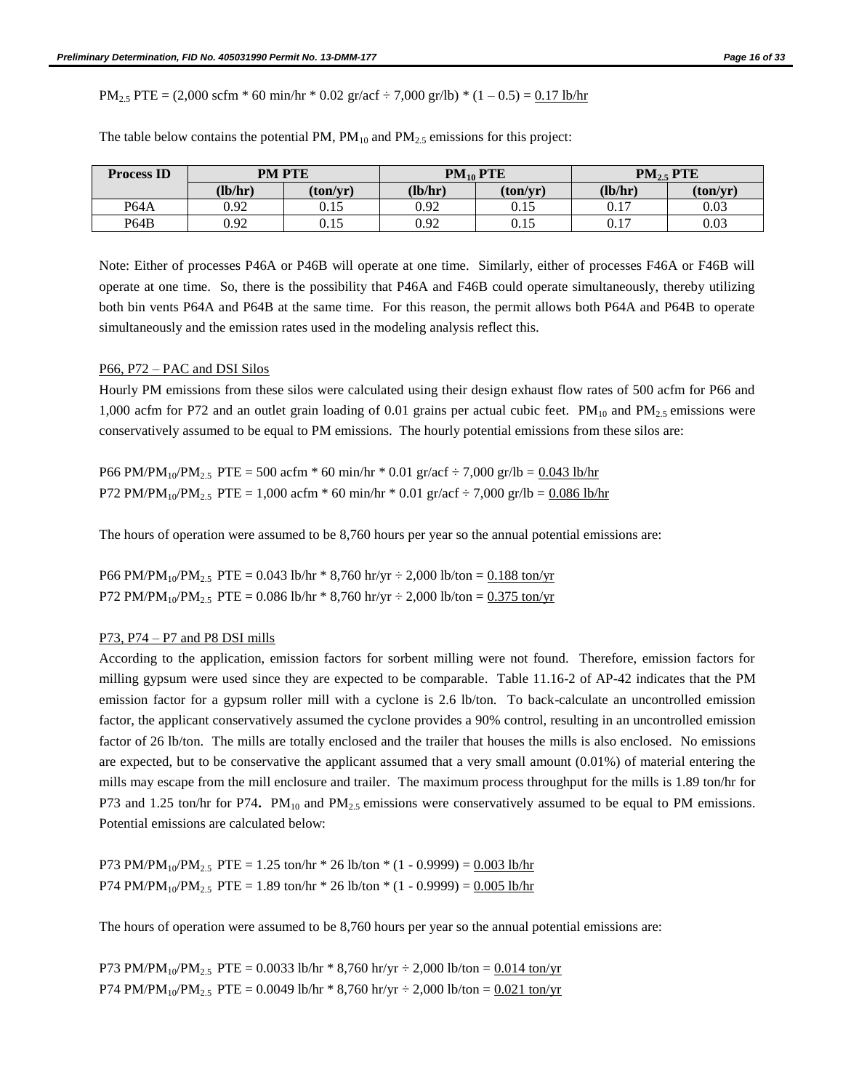$PM_{2.5}$  PTE = (2,000 scfm  $*$  60 min/hr  $*$  0.02 gr/acf  $\div$  7,000 gr/lb)  $*$  (1 – 0.5) = 0.17 lb/hr

| <b>Process ID</b> | <b>PM PTE</b> |          | $PM_{10}$ PTE |          | $PM_{2.5}$ PTE |          |
|-------------------|---------------|----------|---------------|----------|----------------|----------|
|                   | (lb/hr)       | (ton/vr) | (lb/hr)       | (ton/yr) | (lb/hr)        | (ton/vr) |
| <b>P64A</b>       | 0.92          | 0.15     | 0.92          | 0.15     | 0.17           | 0.03     |
| P64B              | 0.92          | 0.15     | 0.92          | 0.15     | 0.17           | 0.03     |

The table below contains the potential PM,  $PM_{10}$  and  $PM_{2.5}$  emissions for this project:

Note: Either of processes P46A or P46B will operate at one time. Similarly, either of processes F46A or F46B will operate at one time. So, there is the possibility that P46A and F46B could operate simultaneously, thereby utilizing both bin vents P64A and P64B at the same time. For this reason, the permit allows both P64A and P64B to operate simultaneously and the emission rates used in the modeling analysis reflect this.

#### P66, P72 – PAC and DSI Silos

Hourly PM emissions from these silos were calculated using their design exhaust flow rates of 500 acfm for P66 and 1,000 acfm for P72 and an outlet grain loading of 0.01 grains per actual cubic feet.  $PM_{10}$  and  $PM_{2.5}$  emissions were conservatively assumed to be equal to PM emissions. The hourly potential emissions from these silos are:

P66 PM/PM<sub>10</sub>/PM<sub>2.5</sub> PTE = 500 acfm \* 60 min/hr \* 0.01 gr/acf ÷ 7,000 gr/lb =  $0.043$  lb/hr P72 PM/PM<sub>10</sub>/PM<sub>2.5</sub> PTE = 1,000 acfm  $*$  60 min/hr  $*$  0.01 gr/acf  $\div$  7,000 gr/lb = 0.086 lb/hr

The hours of operation were assumed to be 8,760 hours per year so the annual potential emissions are:

P66 PM/PM<sub>10</sub>/PM<sub>2.5</sub> PTE = 0.043 lb/hr  $* 8,760$  hr/yr  $\div 2,000$  lb/ton = 0.188 ton/yr P72 PM/PM<sub>10</sub>/PM<sub>2.5</sub> PTE = 0.086 lb/hr  $*$  8,760 hr/yr  $\div$  2,000 lb/ton = 0.375 ton/yr

#### P73, P74 – P7 and P8 DSI mills

According to the application, emission factors for sorbent milling were not found. Therefore, emission factors for milling gypsum were used since they are expected to be comparable. Table 11.16-2 of AP-42 indicates that the PM emission factor for a gypsum roller mill with a cyclone is 2.6 lb/ton. To back-calculate an uncontrolled emission factor, the applicant conservatively assumed the cyclone provides a 90% control, resulting in an uncontrolled emission factor of 26 lb/ton. The mills are totally enclosed and the trailer that houses the mills is also enclosed. No emissions are expected, but to be conservative the applicant assumed that a very small amount (0.01%) of material entering the mills may escape from the mill enclosure and trailer. The maximum process throughput for the mills is 1.89 ton/hr for P73 and 1.25 ton/hr for P74. PM<sub>10</sub> and PM<sub>2.5</sub> emissions were conservatively assumed to be equal to PM emissions. Potential emissions are calculated below:

P73 PM/PM<sub>10</sub>/PM<sub>2.5</sub> PTE = 1.25 ton/hr  $*$  26 lb/ton  $*$  (1 - 0.9999) = 0.003 lb/hr P74 PM/PM<sub>10</sub>/PM<sub>2.5</sub> PTE = 1.89 ton/hr \* 26 lb/ton \* (1 - 0.9999) =  $0.005$  lb/hr

The hours of operation were assumed to be 8,760 hours per year so the annual potential emissions are:

P73 PM/PM<sub>10</sub>/PM<sub>2.5</sub> PTE = 0.0033 lb/hr \* 8,760 hr/yr ÷ 2,000 lb/ton =  $0.014$  ton/yr P74 PM/PM<sub>10</sub>/PM<sub>2.5</sub> PTE = 0.0049 lb/hr \* 8,760 hr/yr ÷ 2,000 lb/ton =  $0.021$  ton/yr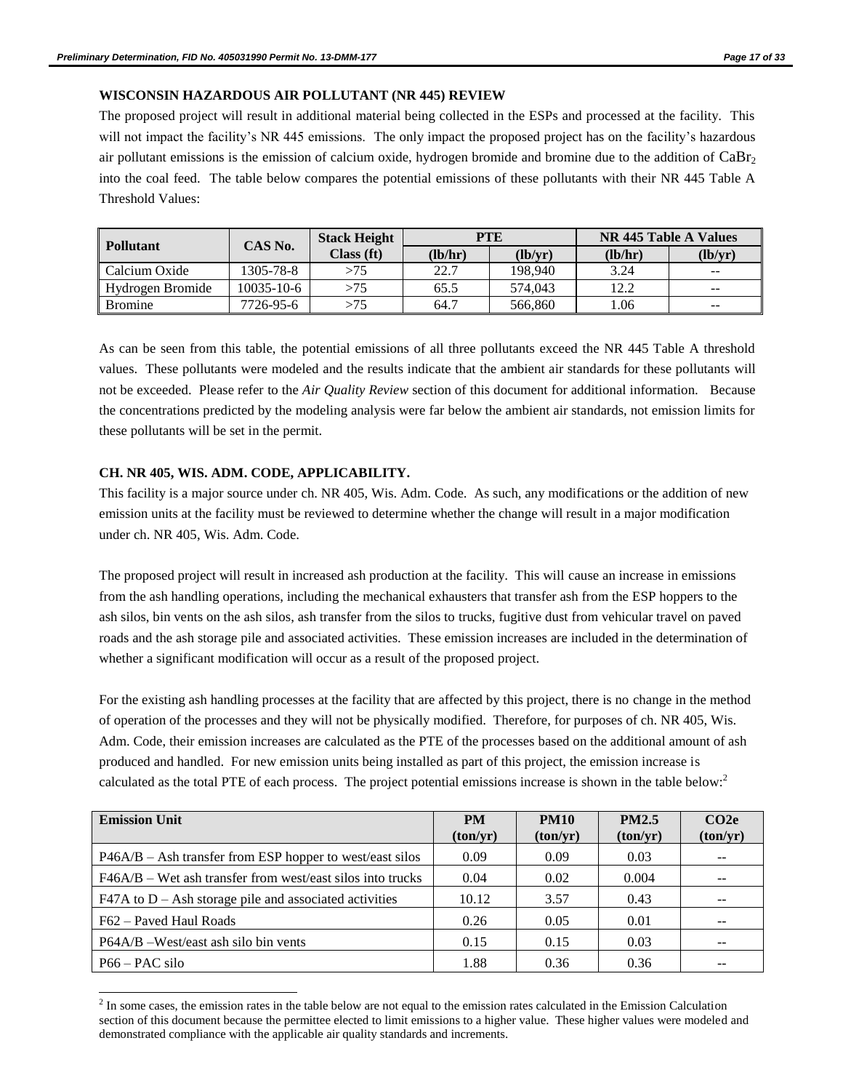### **WISCONSIN HAZARDOUS AIR POLLUTANT (NR 445) REVIEW**

The proposed project will result in additional material being collected in the ESPs and processed at the facility. This will not impact the facility's NR 445 emissions. The only impact the proposed project has on the facility's hazardous air pollutant emissions is the emission of calcium oxide, hydrogen bromide and bromine due to the addition of  $CaBr<sub>2</sub>$ into the coal feed. The table below compares the potential emissions of these pollutants with their NR 445 Table A Threshold Values:

| <b>Pollutant</b> | CAS No.          | <b>Stack Height</b> |         | PTE     |         | NR 445 Table A Values    |
|------------------|------------------|---------------------|---------|---------|---------|--------------------------|
|                  |                  |                     | (lb/hr) | (lb/vr) | (lb/hr) | (lb/yr)                  |
| Calcium Oxide    | 1305-78-8        | >75                 | 22.7    | 198.940 | 3.24    | $- -$                    |
| Hydrogen Bromide | $10035 - 10 - 6$ | >75                 | 65.5    | 574.043 | 12.2    | $\overline{\phantom{m}}$ |
| <b>Bromine</b>   | 7726-95-6        |                     | 64.7    | 566,860 | .06     | $- -$                    |

As can be seen from this table, the potential emissions of all three pollutants exceed the NR 445 Table A threshold values. These pollutants were modeled and the results indicate that the ambient air standards for these pollutants will not be exceeded. Please refer to the *Air Quality Review* section of this document for additional information. Because the concentrations predicted by the modeling analysis were far below the ambient air standards, not emission limits for these pollutants will be set in the permit.

## **CH. NR 405, WIS. ADM. CODE, APPLICABILITY.**

l

This facility is a major source under ch. NR 405, Wis. Adm. Code. As such, any modifications or the addition of new emission units at the facility must be reviewed to determine whether the change will result in a major modification under ch. NR 405, Wis. Adm. Code.

The proposed project will result in increased ash production at the facility. This will cause an increase in emissions from the ash handling operations, including the mechanical exhausters that transfer ash from the ESP hoppers to the ash silos, bin vents on the ash silos, ash transfer from the silos to trucks, fugitive dust from vehicular travel on paved roads and the ash storage pile and associated activities. These emission increases are included in the determination of whether a significant modification will occur as a result of the proposed project.

For the existing ash handling processes at the facility that are affected by this project, there is no change in the method of operation of the processes and they will not be physically modified. Therefore, for purposes of ch. NR 405, Wis. Adm. Code, their emission increases are calculated as the PTE of the processes based on the additional amount of ash produced and handled. For new emission units being installed as part of this project, the emission increase is calculated as the total PTE of each process. The project potential emissions increase is shown in the table below:<sup>2</sup>

| <b>Emission Unit</b>                                         | <b>PM</b><br>(ton/yr) | <b>PM10</b><br>(ton/yr) | <b>PM2.5</b><br>(ton/yr) | CO <sub>2</sub> e<br>(ton/yr) |
|--------------------------------------------------------------|-----------------------|-------------------------|--------------------------|-------------------------------|
| $P46A/B - Ash transfer from ESP hopper to west/east silos$   | 0.09                  | 0.09                    | 0.03                     |                               |
| $F46A/B$ – Wet ash transfer from west/east silos into trucks | 0.04                  | 0.02                    | 0.004                    |                               |
| $F47A$ to D – Ash storage pile and associated activities     | 10.12                 | 3.57                    | 0.43                     |                               |
| F62 – Paved Haul Roads                                       | 0.26                  | 0.05                    | 0.01                     |                               |
| P64A/B –West/east ash silo bin vents                         | 0.15                  | 0.15                    | 0.03                     |                               |
| $P66 - PAC$ silo                                             | 1.88                  | 0.36                    | 0.36                     |                               |

 $<sup>2</sup>$  In some cases, the emission rates in the table below are not equal to the emission rates calculated in the Emission Calculation</sup> section of this document because the permittee elected to limit emissions to a higher value. These higher values were modeled and demonstrated compliance with the applicable air quality standards and increments.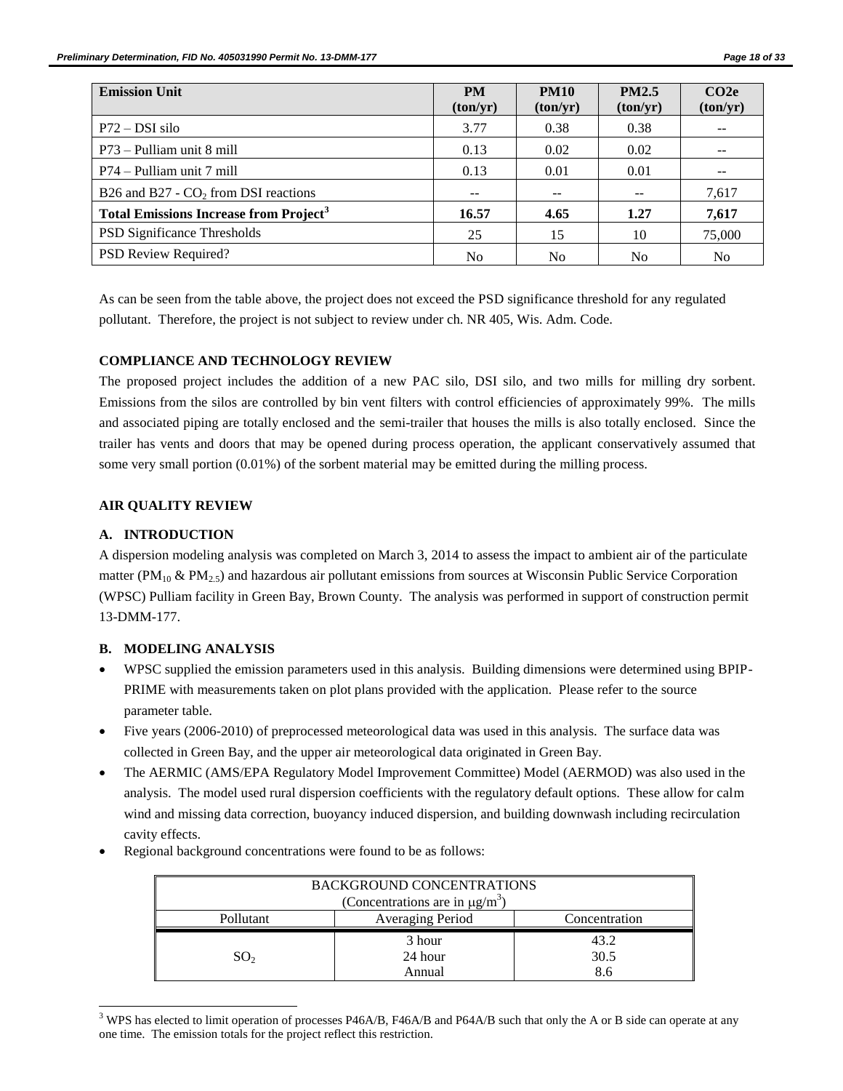| <b>Emission Unit</b>                                     | <b>PM</b><br>(ton/yr) | <b>PM10</b><br>(ton/yr) | <b>PM2.5</b><br>(ton/yr) | CO2e<br>(ton/yr) |
|----------------------------------------------------------|-----------------------|-------------------------|--------------------------|------------------|
| $P72 - DSI$ silo                                         | 3.77                  | 0.38                    | 0.38                     |                  |
| P73 – Pulliam unit 8 mill                                | 0.13                  | 0.02                    | 0.02                     |                  |
| P74 – Pulliam unit 7 mill                                | 0.13                  | 0.01                    | 0.01                     |                  |
| B26 and B27 - $CO2$ from DSI reactions                   | $- -$                 |                         |                          | 7,617            |
| <b>Total Emissions Increase from Project<sup>3</sup></b> | 16.57                 | 4.65                    | 1.27                     | 7,617            |
| PSD Significance Thresholds                              | 25                    | 15                      | 10                       | 75,000           |
| PSD Review Required?                                     | N <sub>0</sub>        | N <sub>0</sub>          | N <sub>0</sub>           | N <sub>0</sub>   |

As can be seen from the table above, the project does not exceed the PSD significance threshold for any regulated pollutant. Therefore, the project is not subject to review under ch. NR 405, Wis. Adm. Code.

### **COMPLIANCE AND TECHNOLOGY REVIEW**

The proposed project includes the addition of a new PAC silo, DSI silo, and two mills for milling dry sorbent. Emissions from the silos are controlled by bin vent filters with control efficiencies of approximately 99%. The mills and associated piping are totally enclosed and the semi-trailer that houses the mills is also totally enclosed. Since the trailer has vents and doors that may be opened during process operation, the applicant conservatively assumed that some very small portion (0.01%) of the sorbent material may be emitted during the milling process.

#### **AIR QUALITY REVIEW**

### **A. INTRODUCTION**

A dispersion modeling analysis was completed on March 3, 2014 to assess the impact to ambient air of the particulate matter ( $PM_{10}$  &  $PM_{2.5}$ ) and hazardous air pollutant emissions from sources at Wisconsin Public Service Corporation (WPSC) Pulliam facility in Green Bay, Brown County. The analysis was performed in support of construction permit 13-DMM-177.

## **B. MODELING ANALYSIS**

 $\overline{a}$ 

- WPSC supplied the emission parameters used in this analysis. Building dimensions were determined using BPIP-PRIME with measurements taken on plot plans provided with the application. Please refer to the source parameter table.
- Five years (2006-2010) of preprocessed meteorological data was used in this analysis. The surface data was collected in Green Bay, and the upper air meteorological data originated in Green Bay.
- The AERMIC (AMS/EPA Regulatory Model Improvement Committee) Model (AERMOD) was also used in the analysis. The model used rural dispersion coefficients with the regulatory default options. These allow for calm wind and missing data correction, buoyancy induced dispersion, and building downwash including recirculation cavity effects.
- Regional background concentrations were found to be as follows:

| <b>BACKGROUND CONCENTRATIONS</b>                |                                   |      |  |  |  |
|-------------------------------------------------|-----------------------------------|------|--|--|--|
| (Concentrations are in $\mu$ g/m <sup>3</sup> ) |                                   |      |  |  |  |
| Pollutant                                       | Averaging Period<br>Concentration |      |  |  |  |
|                                                 | 3 hour                            | 43.2 |  |  |  |
| SO <sub>2</sub>                                 | 30.5                              |      |  |  |  |
| 8.6<br>Annual                                   |                                   |      |  |  |  |

 $3$  WPS has elected to limit operation of processes P46A/B, F46A/B and P64A/B such that only the A or B side can operate at any one time. The emission totals for the project reflect this restriction.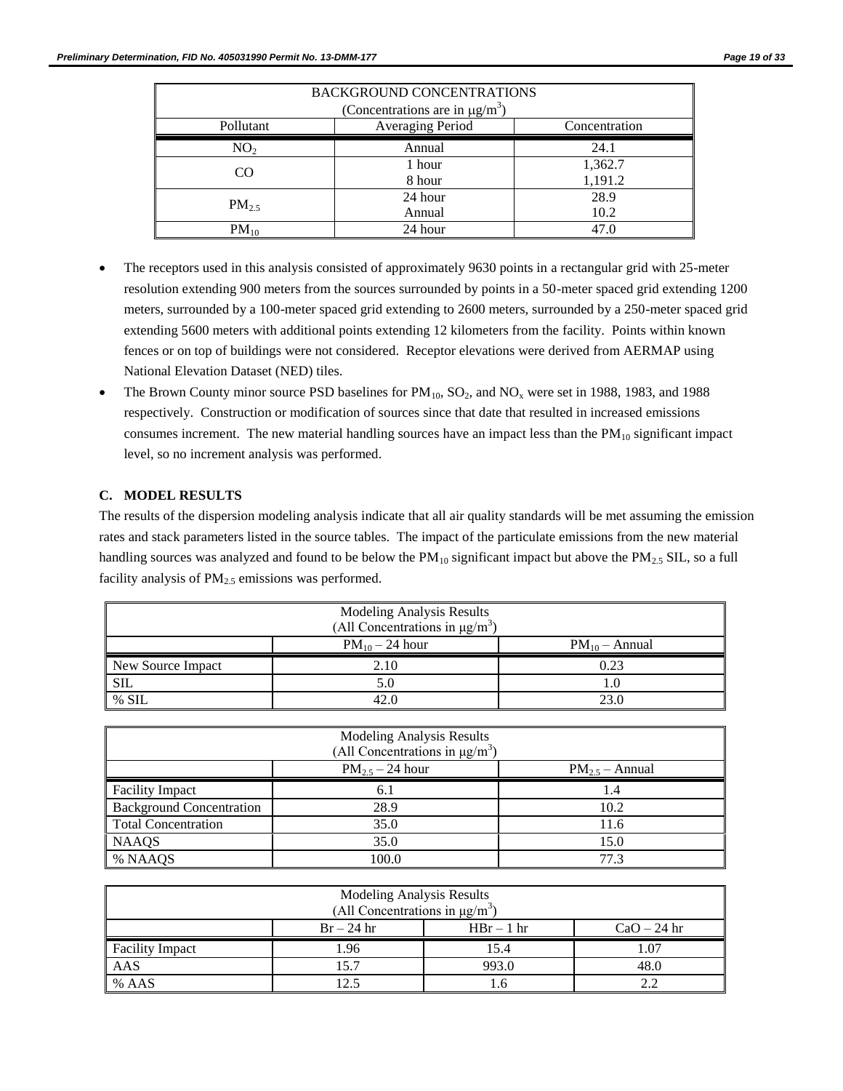| <b>BACKGROUND CONCENTRATIONS</b>                |         |         |  |  |  |
|-------------------------------------------------|---------|---------|--|--|--|
| (Concentrations are in $\mu$ g/m <sup>3</sup> ) |         |         |  |  |  |
| Averaging Period<br>Pollutant<br>Concentration  |         |         |  |  |  |
| 24.1<br>NO <sub>2</sub><br>Annual               |         |         |  |  |  |
| CO.                                             | 1 hour  | 1,362.7 |  |  |  |
|                                                 | 8 hour  | 1,191.2 |  |  |  |
|                                                 | 24 hour | 28.9    |  |  |  |
| $PM_{2.5}$                                      | Annual  | 10.2    |  |  |  |
| $PM_{10}$                                       | 24 hour | 47.0    |  |  |  |

- The receptors used in this analysis consisted of approximately 9630 points in a rectangular grid with 25-meter resolution extending 900 meters from the sources surrounded by points in a 50-meter spaced grid extending 1200 meters, surrounded by a 100-meter spaced grid extending to 2600 meters, surrounded by a 250-meter spaced grid extending 5600 meters with additional points extending 12 kilometers from the facility. Points within known fences or on top of buildings were not considered. Receptor elevations were derived from AERMAP using National Elevation Dataset (NED) tiles.
- The Brown County minor source PSD baselines for  $PM_{10}$ ,  $SO_2$ , and  $NO_x$  were set in 1988, 1983, and 1988 respectively. Construction or modification of sources since that date that resulted in increased emissions consumes increment. The new material handling sources have an impact less than the  $PM_{10}$  significant impact level, so no increment analysis was performed.

## **C. MODEL RESULTS**

The results of the dispersion modeling analysis indicate that all air quality standards will be met assuming the emission rates and stack parameters listed in the source tables. The impact of the particulate emissions from the new material handling sources was analyzed and found to be below the  $PM_{10}$  significant impact but above the  $PM_{2.5}$  SIL, so a full facility analysis of  $PM<sub>2.5</sub>$  emissions was performed.

| Modeling Analysis Results<br>(All Concentrations in $\mu$ g/m <sup>3</sup> ) |                     |                    |  |  |
|------------------------------------------------------------------------------|---------------------|--------------------|--|--|
|                                                                              | $PM_{10} - 24$ hour | $PM_{10}$ – Annual |  |  |
| New Source Impact                                                            | 2.10                | 0.23               |  |  |
| <b>SIL</b>                                                                   | 5.0                 |                    |  |  |
| % SIL                                                                        | 42.0                | 23.0               |  |  |

| Modeling Analysis Results<br>(All Concentrations in $\mu$ g/m <sup>3</sup> ) |                      |                     |  |  |  |
|------------------------------------------------------------------------------|----------------------|---------------------|--|--|--|
|                                                                              | $PM_{2.5} - 24$ hour | $PM_{2.5}$ – Annual |  |  |  |
| <b>Facility Impact</b>                                                       | 6.1                  | 1.4                 |  |  |  |
| <b>Background Concentration</b>                                              | 28.9                 | 10.2                |  |  |  |
| <b>Total Concentration</b>                                                   | 35.0                 | 11.6                |  |  |  |
| <b>NAAQS</b>                                                                 | 35.0                 | 15.0                |  |  |  |
| % NAAQS                                                                      | 100.0                | 77.3                |  |  |  |

| Modeling Analysis Results<br>(All Concentrations in $\mu g/m^3$ ) |                     |  |  |  |  |  |
|-------------------------------------------------------------------|---------------------|--|--|--|--|--|
| $Br - 24 hr$<br>$HBr-1hr$<br>$CaO - 24$ hr                        |                     |  |  |  |  |  |
| <b>Facility Impact</b>                                            | .07<br>l.96<br>15.4 |  |  |  |  |  |
| AAS<br>993.0<br>15.7<br>48.0                                      |                     |  |  |  |  |  |
| % AAS                                                             | 12.5                |  |  |  |  |  |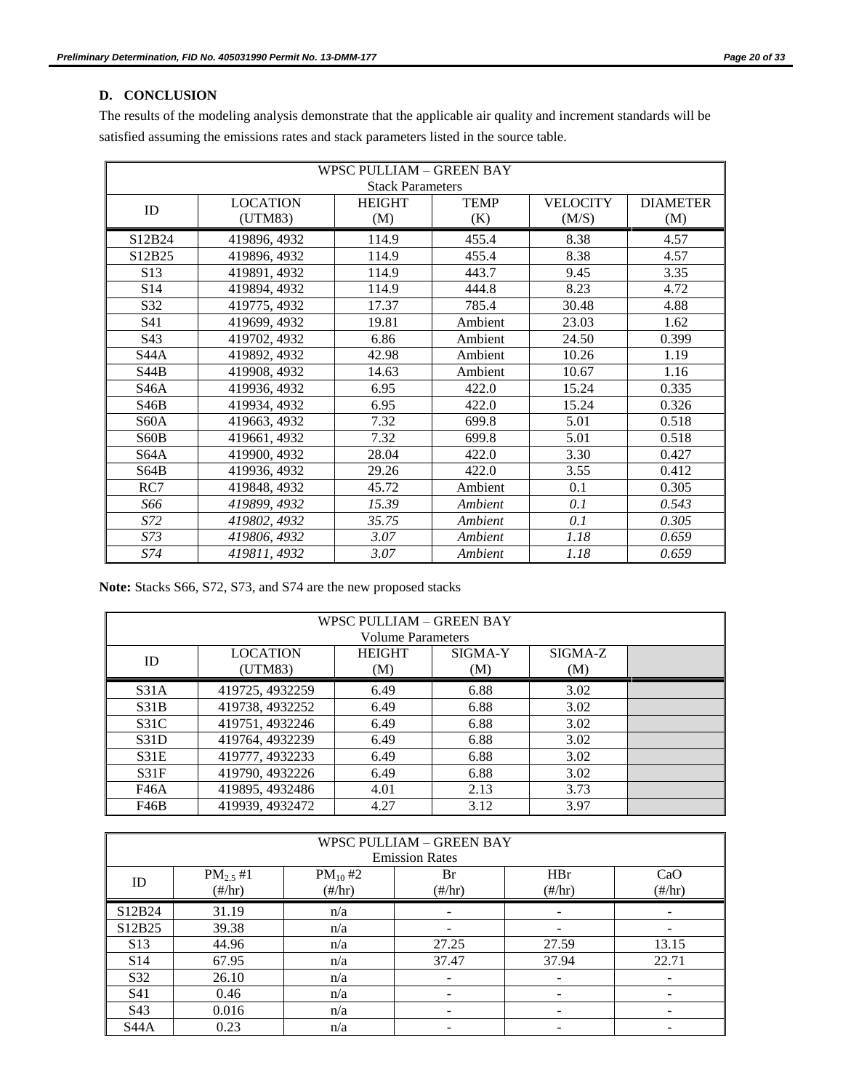## **D. CONCLUSION**

The results of the modeling analysis demonstrate that the applicable air quality and increment standards will be satisfied assuming the emissions rates and stack parameters listed in the source table.

| <b>WPSC PULLIAM - GREEN BAY</b> |                 |                         |             |                 |                 |  |
|---------------------------------|-----------------|-------------------------|-------------|-----------------|-----------------|--|
|                                 |                 | <b>Stack Parameters</b> |             |                 |                 |  |
| ID                              | <b>LOCATION</b> | <b>HEIGHT</b>           | <b>TEMP</b> | <b>VELOCITY</b> | <b>DIAMETER</b> |  |
|                                 | (UTM83)         | (M)                     | (K)         | (M/S)           | (M)             |  |
| S12B24                          | 419896, 4932    | 114.9                   | 455.4       | 8.38            | 4.57            |  |
| S12B25                          | 419896, 4932    | 114.9                   | 455.4       | 8.38            | 4.57            |  |
| S <sub>13</sub>                 | 419891, 4932    | 114.9                   | 443.7       | 9.45            | 3.35            |  |
| S14                             | 419894, 4932    | 114.9                   | 444.8       | 8.23            | 4.72            |  |
| S32                             | 419775, 4932    | 17.37                   | 785.4       | 30.48           | 4.88            |  |
| S41                             | 419699, 4932    | 19.81                   | Ambient     | 23.03           | 1.62            |  |
| S43                             | 419702, 4932    | 6.86                    | Ambient     | 24.50           | 0.399           |  |
| S <sub>44</sub> A               | 419892, 4932    | 42.98                   | Ambient     | 10.26           | 1.19            |  |
| S44B                            | 419908, 4932    | 14.63                   | Ambient     | 10.67           | 1.16            |  |
| S <sub>46</sub> A               | 419936, 4932    | 6.95                    | 422.0       | 15.24           | 0.335           |  |
| S46B                            | 419934, 4932    | 6.95                    | 422.0       | 15.24           | 0.326           |  |
| S60A                            | 419663, 4932    | 7.32                    | 699.8       | 5.01            | 0.518           |  |
| S <sub>60</sub> B               | 419661, 4932    | 7.32                    | 699.8       | 5.01            | 0.518           |  |
| S64A                            | 419900, 4932    | 28.04                   | 422.0       | 3.30            | 0.427           |  |
| S64B                            | 419936, 4932    | 29.26                   | 422.0       | 3.55            | 0.412           |  |
| RC7                             | 419848, 4932    | 45.72                   | Ambient     | 0.1             | 0.305           |  |
| S66                             | 419899, 4932    | 15.39                   | Ambient     | 0.1             | 0.543           |  |
| S72                             | 419802, 4932    | 35.75                   | Ambient     | 0.1             | 0.305           |  |
| S73                             | 419806, 4932    | 3.07                    | Ambient     | 1.18            | 0.659           |  |
| S74                             | 419811, 4932    | 3.07                    | Ambient     | 1.18            | 0.659           |  |

**Note:** Stacks S66, S72, S73, and S74 are the new proposed stacks

| WPSC PULLIAM - GREEN BAY<br><b>Volume Parameters</b> |                            |                      |                |                |  |  |  |
|------------------------------------------------------|----------------------------|----------------------|----------------|----------------|--|--|--|
| ID                                                   | <b>LOCATION</b><br>(UTM83) | <b>HEIGHT</b><br>(M) | SIGMA-Y<br>(M) | SIGMA-Z<br>(M) |  |  |  |
| S31A                                                 | 419725, 4932259            | 6.49                 | 6.88           | 3.02           |  |  |  |
| S31B                                                 | 419738, 4932252            | 6.49                 | 6.88           | 3.02           |  |  |  |
| S <sub>31C</sub>                                     | 419751, 4932246            | 6.49                 | 6.88           | 3.02           |  |  |  |
| S31D                                                 | 419764, 4932239            | 6.49                 | 6.88           | 3.02           |  |  |  |
| S31E                                                 | 419777, 4932233            | 6.49                 | 6.88           | 3.02           |  |  |  |
| S31F                                                 | 419790, 4932226            | 6.49                 | 6.88           | 3.02           |  |  |  |
| F46A                                                 | 419895, 4932486            | 4.01                 | 2.13           | 3.73           |  |  |  |
| F46B                                                 | 419939, 4932472            | 4.27                 | 3.12           | 3.97           |  |  |  |

| <b>WPSC PULLIAM - GREEN BAY</b><br><b>Emission Rates</b> |                                                                                                                                                                                                                             |     |                          |                          |                          |  |  |
|----------------------------------------------------------|-----------------------------------------------------------------------------------------------------------------------------------------------------------------------------------------------------------------------------|-----|--------------------------|--------------------------|--------------------------|--|--|
| ID                                                       | $PM_{2.5}$ #1<br>HBr<br>$PM_{10}$ #2<br>CaO<br>Br<br>$(\frac{\text{#}}{\text{hr}})$<br>$(\frac{\text{#}}{\text{hr}})$<br>$(\frac{\text{#}}{\text{hr}})$<br>$(\frac{\text{#}}{\text{hr}})$<br>$(\frac{\text{#}}{\text{hr}})$ |     |                          |                          |                          |  |  |
| S12B24                                                   | 31.19                                                                                                                                                                                                                       | n/a | $\overline{\phantom{a}}$ | $\overline{\phantom{a}}$ | ۰                        |  |  |
| S12B25                                                   | 39.38                                                                                                                                                                                                                       | n/a | -                        |                          |                          |  |  |
| S <sub>13</sub>                                          | 44.96                                                                                                                                                                                                                       | n/a | 27.25                    | 27.59                    | 13.15                    |  |  |
| S <sub>14</sub>                                          | 67.95                                                                                                                                                                                                                       | n/a | 37.47                    | 37.94                    | 22.71                    |  |  |
| S32                                                      | 26.10                                                                                                                                                                                                                       | n/a | $\overline{\phantom{a}}$ | -                        | $\overline{\phantom{a}}$ |  |  |
| S41                                                      | 0.46                                                                                                                                                                                                                        | n/a | -                        | $\overline{\phantom{0}}$ | -                        |  |  |
| S43                                                      | 0.016                                                                                                                                                                                                                       | n/a | -                        |                          | -                        |  |  |
| S44A                                                     | 0.23                                                                                                                                                                                                                        | n/a | -                        |                          |                          |  |  |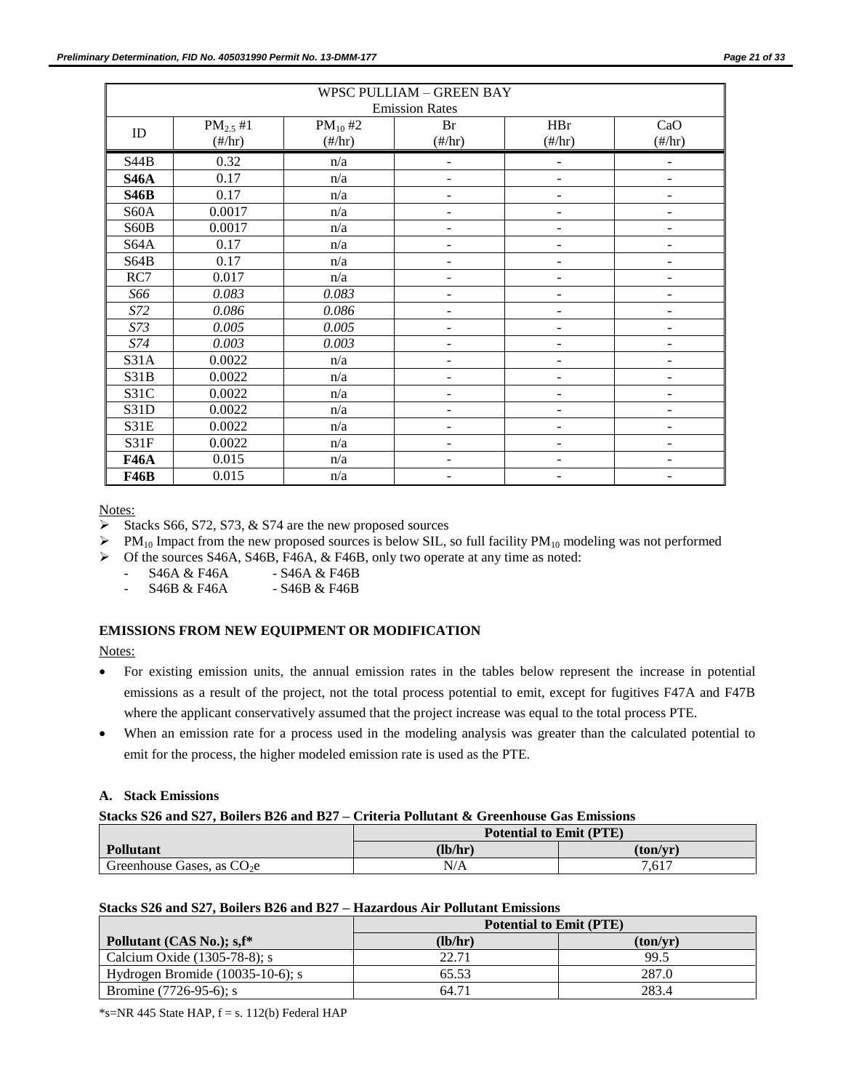| WPSC PULLIAM - GREEN BAY |                   |                                |                                |                                |                          |  |
|--------------------------|-------------------|--------------------------------|--------------------------------|--------------------------------|--------------------------|--|
|                          |                   |                                | <b>Emission Rates</b>          |                                |                          |  |
| $\mathbf{ID}$            | $PM_{2.5}$ #1     | $PM_{10}$ #2                   | Br                             | <b>HBr</b>                     | CaO                      |  |
|                          | $(\frac{\#}{hr})$ | $(\frac{\text{#}}{\text{hr}})$ | $(\frac{\text{#}}{\text{hr}})$ | $(\frac{\text{#}}{\text{hr}})$ | $(\frac{\#}{hr})$        |  |
| <b>S44B</b>              | 0.32              | n/a                            | $\overline{a}$                 | $\overline{a}$                 | ÷,                       |  |
| <b>S46A</b>              | 0.17              | n/a                            |                                |                                |                          |  |
| <b>S46B</b>              | 0.17              | n/a                            |                                |                                |                          |  |
| S60A                     | 0.0017            | n/a                            |                                |                                |                          |  |
| S60B                     | 0.0017            | n/a                            |                                |                                |                          |  |
| <b>S64A</b>              | 0.17              | n/a                            |                                | $\qquad \qquad \blacksquare$   | $\overline{a}$           |  |
| S64B                     | 0.17              | n/a                            |                                | ۰                              | -                        |  |
| RC7                      | 0.017             | n/a                            | -                              | $\qquad \qquad -$              | -                        |  |
| S66                      | 0.083             | 0.083                          | -                              | $\overline{\phantom{0}}$       | -                        |  |
| S72                      | 0.086             | 0.086                          | -                              | $\overline{\phantom{m}}$       | -                        |  |
| S73                      | 0.005             | 0.005                          | -                              | $\overline{\phantom{0}}$       | -                        |  |
| S74                      | 0.003             | 0.003                          | -                              | $\overline{\phantom{0}}$       | -                        |  |
| S31A                     | 0.0022            | n/a                            | -                              | $\overline{\phantom{0}}$       | -                        |  |
| S31B                     | 0.0022            | n/a                            |                                | $\overline{\phantom{0}}$       | -                        |  |
| S31C                     | 0.0022            | n/a                            | $\overline{\phantom{0}}$       | $\overline{a}$                 | $\overline{\phantom{0}}$ |  |
| S31D                     | 0.0022            | n/a                            | ۰                              | $\overline{\phantom{0}}$       | ۰                        |  |
| S31E                     | 0.0022            | n/a                            | ۰                              | $\overline{\phantom{0}}$       | L.                       |  |
| S31F                     | 0.0022            | n/a                            |                                |                                |                          |  |
| <b>F46A</b>              | 0.015             | n/a                            |                                |                                |                          |  |
| <b>F46B</b>              | 0.015             | n/a                            |                                |                                |                          |  |

Notes:

Stacks S66, S72, S73,  $&$  S74 are the new proposed sources

 $\triangleright$  PM<sub>10</sub> Impact from the new proposed sources is below SIL, so full facility PM<sub>10</sub> modeling was not performed

 $\triangleright$  Of the sources S46A, S46B, F46A, & F46B, only two operate at any time as noted:

S46A & F46A - S46A & F46B

S46B & F46A - S46B & F46B

### **EMISSIONS FROM NEW EQUIPMENT OR MODIFICATION**

Notes:

- For existing emission units, the annual emission rates in the tables below represent the increase in potential emissions as a result of the project, not the total process potential to emit, except for fugitives F47A and F47B where the applicant conservatively assumed that the project increase was equal to the total process PTE.
- When an emission rate for a process used in the modeling analysis was greater than the calculated potential to emit for the process, the higher modeled emission rate is used as the PTE.

### **A. Stack Emissions**

### **Stacks S26 and S27, Boilers B26 and B27 – Criteria Pollutant & Greenhouse Gas Emissions**

|                             | <b>Potential to Emit (PTE)</b> |          |
|-----------------------------|--------------------------------|----------|
| <b>Pollutant</b>            | (lb/hr)                        | (ton/vr) |
| Greenhouse Gases, as $CO2e$ | N/A                            | 7.617    |

#### **Stacks S26 and S27, Boilers B26 and B27 – Hazardous Air Pollutant Emissions**

|                                     | <b>Potential to Emit (PTE)</b> |          |
|-------------------------------------|--------------------------------|----------|
| Pollutant (CAS No.); s, f*          | (lb/hr)                        | (ton/vr) |
| Calcium Oxide (1305-78-8); s        | 22.71                          | 99.5     |
| Hydrogen Bromide $(10035-10-6)$ ; s | 65.53                          | 287.0    |
| Bromine $(7726-95-6)$ ; s           | 64.71                          | 283.4    |

 $*$ s=NR 445 State HAP,  $f = s$ . 112(b) Federal HAP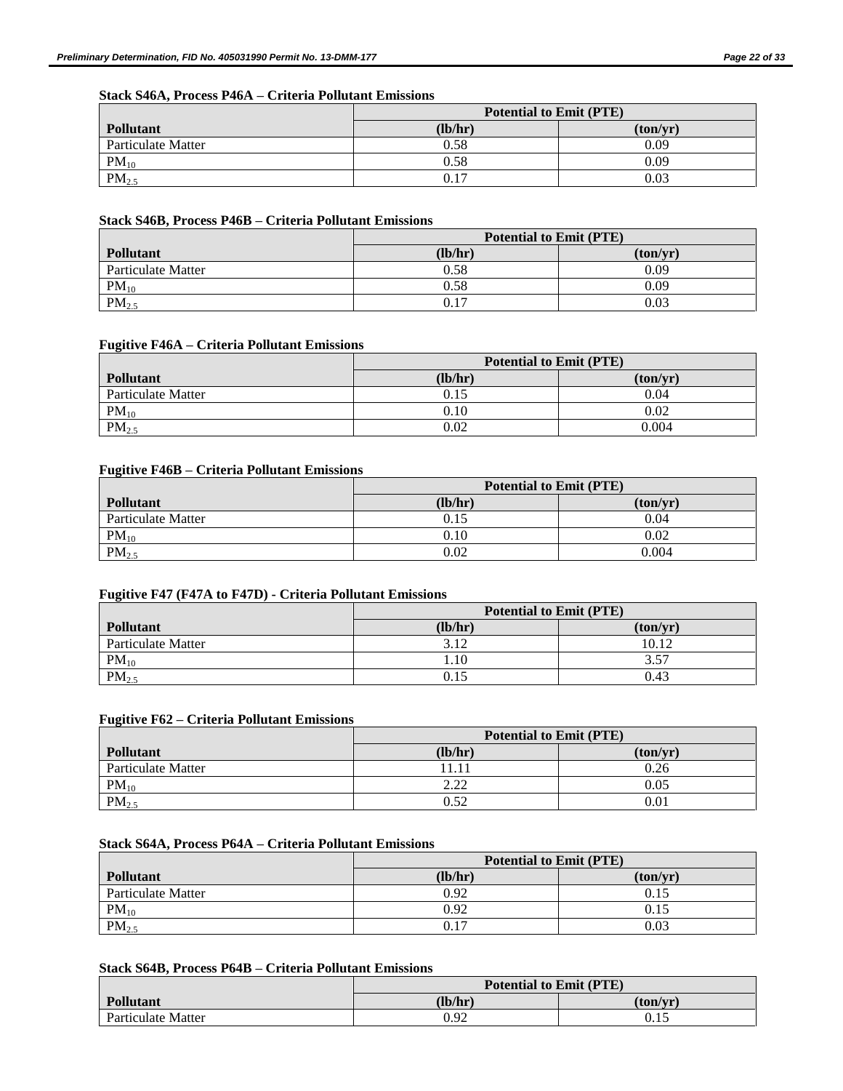## **Stack S46A, Process P46A – Criteria Pollutant Emissions**

|                    | <b>Potential to Emit (PTE)</b> |          |
|--------------------|--------------------------------|----------|
| <b>Pollutant</b>   | (lb/hr)                        | (ton/vr) |
| Particulate Matter | 0.58                           | 0.09     |
| $PM_{10}$          | 0.58                           | 0.09     |
| PM <sub>2.5</sub>  | 0.17                           | 0.03     |

## **Stack S46B, Process P46B – Criteria Pollutant Emissions**

|                    | <b>Potential to Emit (PTE)</b> |          |
|--------------------|--------------------------------|----------|
| <b>Pollutant</b>   | (lb/hr)                        | (ton/yr) |
| Particulate Matter | 0.58                           | 0.09     |
| $PM_{10}$          | 0.58                           | 0.09     |
| PM <sub>2.5</sub>  | 0.17                           | 0.03     |

## **Fugitive F46A – Criteria Pollutant Emissions**

|                    | <b>Potential to Emit (PTE)</b> |          |
|--------------------|--------------------------------|----------|
| <b>Pollutant</b>   | (lb/hr)                        | (ton/vr) |
| Particulate Matter | 0.15                           | 0.04     |
| $PM_{10}$          | 0.10                           | 0.02     |
| PM <sub>2.5</sub>  | 0.02                           | 0.004    |

## **Fugitive F46B – Criteria Pollutant Emissions**

|                    | <b>Potential to Emit (PTE)</b> |          |
|--------------------|--------------------------------|----------|
| <b>Pollutant</b>   | (lb/hr)                        | (ton/yr) |
| Particulate Matter | 0.15                           | 0.04     |
| $PM_{10}$          | 0.10                           | 0.02     |
| $PM_{2.5}$         | 0.02                           | 0.004    |

### **Fugitive F47 (F47A to F47D) - Criteria Pollutant Emissions**

|                    | <b>Potential to Emit (PTE)</b> |          |
|--------------------|--------------------------------|----------|
| <b>Pollutant</b>   | (lb/hr)                        | (ton/vr) |
| Particulate Matter | 3.12                           | 10.12    |
| $PM_{10}$          | 1.10                           | 3.57     |
| PM <sub>2.5</sub>  | 0.15                           | 0.43     |

#### **Fugitive F62 – Criteria Pollutant Emissions**

|                    | <b>Potential to Emit (PTE)</b> |          |
|--------------------|--------------------------------|----------|
| <b>Pollutant</b>   | (lb/hr)                        | (ton/vr) |
| Particulate Matter | 11.11                          | 0.26     |
| $PM_{10}$          | 222<br>2.LL                    | 0.05     |
| PM <sub>2.5</sub>  | 0.52                           | 0.01     |

#### **Stack S64A, Process P64A – Criteria Pollutant Emissions**

|                    | <b>Potential to Emit (PTE)</b> |          |
|--------------------|--------------------------------|----------|
| <b>Pollutant</b>   | (lb/hr)                        | (ton/vr) |
| Particulate Matter | 0.92                           | 0.15     |
| $PM_{10}$          | 0.92                           | 0.15     |
| $PM_{2.5}$         | 0.17                           | 0.03     |

## **Stack S64B, Process P64B – Criteria Pollutant Emissions**

|                    | <b>Potential to Emit (PTE)</b> |          |
|--------------------|--------------------------------|----------|
| <b>Pollutant</b>   | (lb/hr)                        | (ton/vr) |
| Particulate Matter | 0.92                           | 0.15     |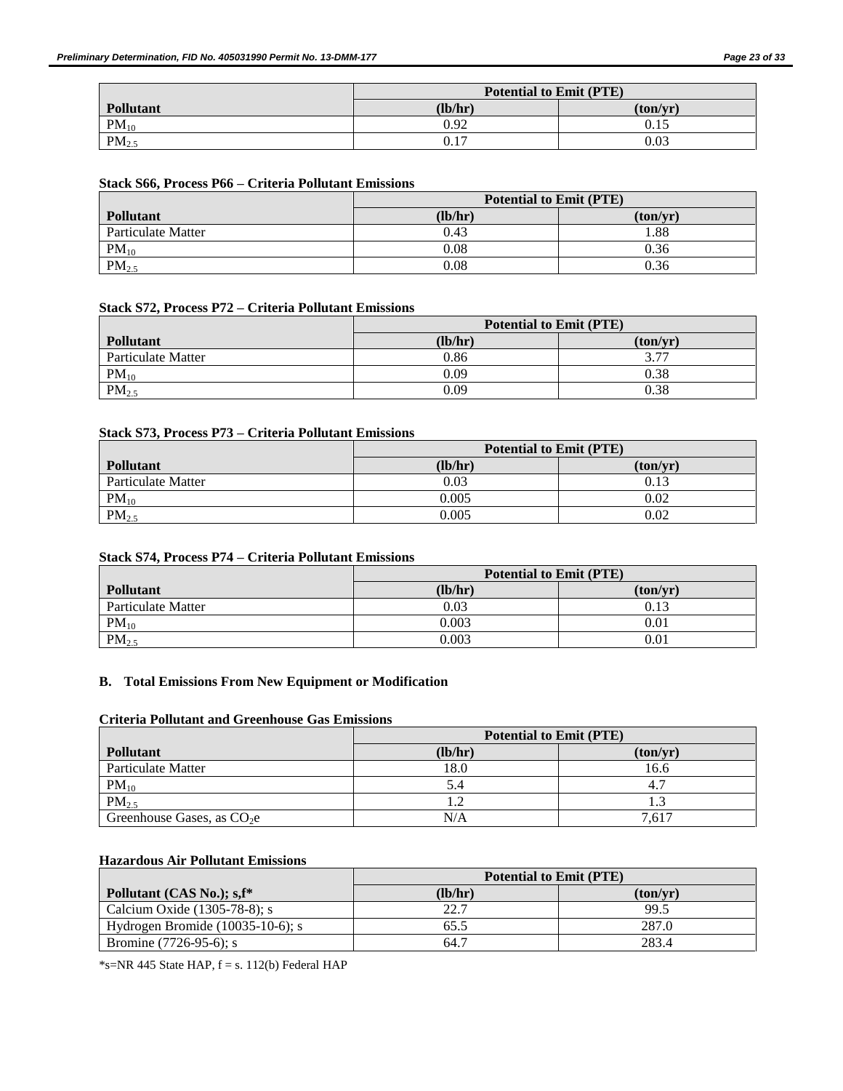|                   | <b>Potential to Emit (PTE)</b> |          |
|-------------------|--------------------------------|----------|
| Pollutant         | (lb/hr)                        | (ton/yr) |
| $PM_{10}$         | 0.92                           | 0.15     |
| PM <sub>2.5</sub> | 0.17                           | 0.03     |

### **Stack S66, Process P66 – Criteria Pollutant Emissions**

|                    | <b>Potential to Emit (PTE)</b> |          |
|--------------------|--------------------------------|----------|
| Pollutant          | (lb/hr)                        | (ton/yr) |
| Particulate Matter | 0.43                           | .88      |
| $PM_{10}$          | 0.08                           | 0.36     |
| PM <sub>2.5</sub>  | 0.08                           | 0.36     |

## **Stack S72, Process P72 – Criteria Pollutant Emissions**

|                    | <b>Potential to Emit (PTE)</b> |          |  |  |
|--------------------|--------------------------------|----------|--|--|
| <b>Pollutant</b>   | (lb/hr)                        | (ton/vr) |  |  |
| Particulate Matter | 0.86                           | 277      |  |  |
| $PM_{10}$          | 0.09                           | 0.38     |  |  |
| PM <sub>2.5</sub>  | 0.09                           | 0.38     |  |  |

### **Stack S73, Process P73 – Criteria Pollutant Emissions**

|                    | <b>Potential to Emit (PTE)</b> |          |  |
|--------------------|--------------------------------|----------|--|
| <b>Pollutant</b>   | (lb/hr)                        | (ton/vr) |  |
| Particulate Matter | 0.03                           | 0.13     |  |
| $PM_{10}$          | 0.005                          | 0.02     |  |
| $PM_{2.5}$         | 0.005                          | 0.02     |  |

### **Stack S74, Process P74 – Criteria Pollutant Emissions**

|                    | <b>Potential to Emit (PTE)</b> |          |  |
|--------------------|--------------------------------|----------|--|
| <b>Pollutant</b>   | (lb/hr)                        | (ton/vr) |  |
| Particulate Matter | 0.03                           | 0.13     |  |
| $PM_{10}$          | 0.003                          | 0.01     |  |
| PM <sub>2.5</sub>  | 0.003                          | 0.01     |  |

## **B. Total Emissions From New Equipment or Modification**

### **Criteria Pollutant and Greenhouse Gas Emissions**

|                             | <b>Potential to Emit (PTE)</b> |          |  |
|-----------------------------|--------------------------------|----------|--|
| <b>Pollutant</b>            | (lb/hr)                        | (ton/vr) |  |
| Particulate Matter          | 18.0                           | 16.6     |  |
| $PM_{10}$                   | 5.4                            |          |  |
| PM <sub>2.5</sub>           | 1.2                            |          |  |
| Greenhouse Gases, as $CO2e$ | N/A                            | 7.617    |  |

## **Hazardous Air Pollutant Emissions**

|                                        | <b>Potential to Emit (PTE)</b> |          |  |
|----------------------------------------|--------------------------------|----------|--|
| Pollutant (CAS No.); s, f <sup>*</sup> | (lb/hr)                        | (ton/vr) |  |
| Calcium Oxide $(1305-78-8)$ ; s        | 22.7                           | 99.5     |  |
| Hydrogen Bromide $(10035-10-6)$ ; s    | 65.5                           | 287.0    |  |
| Bromine $(7726-95-6)$ ; s              | 64.7                           | 283.4    |  |

 $*$ s=NR 445 State HAP,  $f = s$ . 112(b) Federal HAP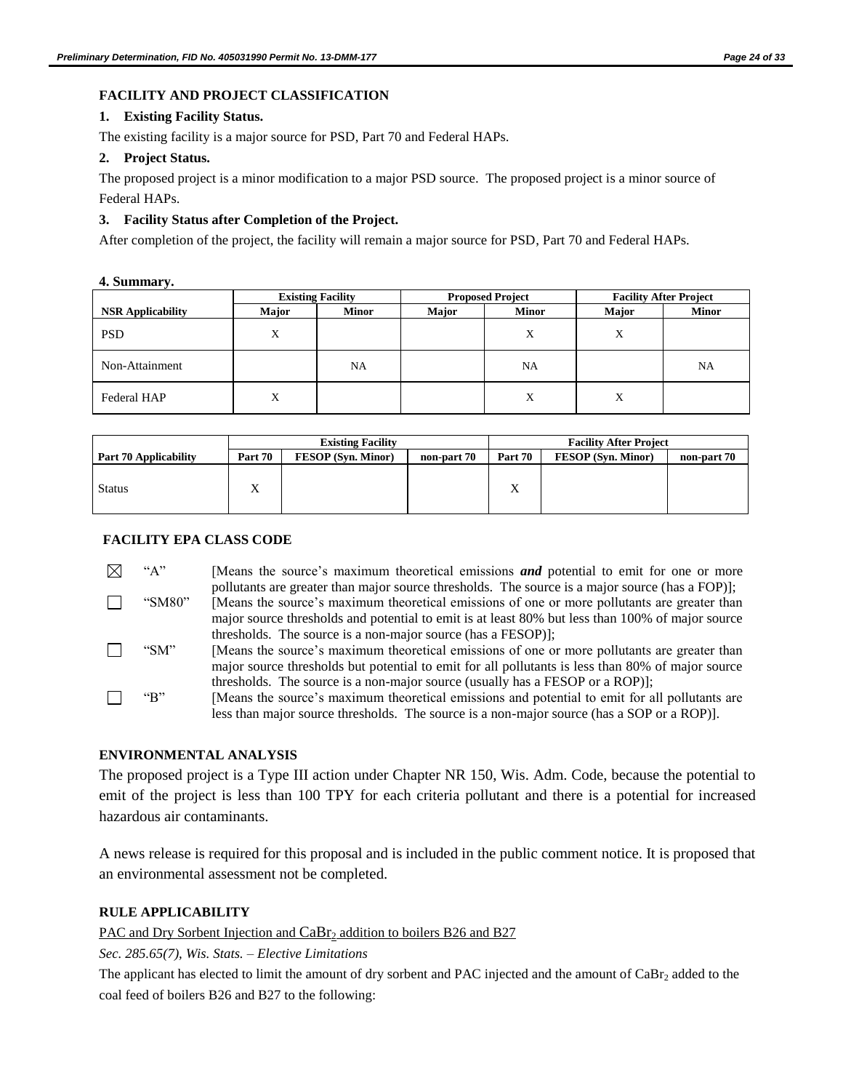## **FACILITY AND PROJECT CLASSIFICATION**

### **1. Existing Facility Status.**

The existing facility is a major source for PSD, Part 70 and Federal HAPs.

### **2. Project Status.**

The proposed project is a minor modification to a major PSD source. The proposed project is a minor source of Federal HAPs.

## **3. Facility Status after Completion of the Project.**

After completion of the project, the facility will remain a major source for PSD, Part 70 and Federal HAPs.

**4. Summary.**

|                          |       | <b>Existing Facility</b> |       | <b>Proposed Project</b> |       | <b>Facility After Project</b> |
|--------------------------|-------|--------------------------|-------|-------------------------|-------|-------------------------------|
| <b>NSR</b> Applicability | Major | <b>Minor</b>             | Major | <b>Minor</b>            | Major | <b>Minor</b>                  |
| <b>PSD</b>               | X     |                          |       | X                       | X     |                               |
| Non-Attainment           |       | NA                       |       | NA                      |       | NA                            |
| <b>Federal HAP</b>       | X     |                          |       | X                       | Х     |                               |

|                              | <b>Existing Facility</b>                            |  | <b>Facility After Project</b> |                           |             |  |
|------------------------------|-----------------------------------------------------|--|-------------------------------|---------------------------|-------------|--|
| <b>Part 70 Applicability</b> | Part 70<br><b>FESOP</b> (Syn. Minor)<br>non-part 70 |  | Part 70                       | <b>FESOP</b> (Syn. Minor) | non-part 70 |  |
| <b>Status</b>                | $\Lambda$                                           |  |                               | v<br>$\Lambda$            |             |  |

### **FACILITY EPA CLASS CODE**

"A" [Means the source's maximum theoretical emissions **and** potential to emit for one or more ⊠ pollutants are greater than major source thresholds. The source is a major source (has a FOP)]; П "SM80" [Means the source's maximum theoretical emissions of one or more pollutants are greater than major source thresholds and potential to emit is at least 80% but less than 100% of major source thresholds. The source is a non-major source (has a FESOP)];

- П "SM" [Means the source's maximum theoretical emissions of one or more pollutants are greater than major source thresholds but potential to emit for all pollutants is less than 80% of major source thresholds. The source is a non-major source (usually has a FESOP or a ROP)];
- П "B" [Means the source's maximum theoretical emissions and potential to emit for all pollutants are less than major source thresholds. The source is a non-major source (has a SOP or a ROP)].

## **ENVIRONMENTAL ANALYSIS**

The proposed project is a Type III action under Chapter NR 150, Wis. Adm. Code, because the potential to emit of the project is less than 100 TPY for each criteria pollutant and there is a potential for increased hazardous air contaminants.

A news release is required for this proposal and is included in the public comment notice. It is proposed that an environmental assessment not be completed.

## **RULE APPLICABILITY**

PAC and Dry Sorbent Injection and  $CaBr<sub>2</sub>$  addition to boilers B26 and B27

*Sec. 285.65(7), Wis. Stats. – Elective Limitations*

The applicant has elected to limit the amount of dry sorbent and PAC injected and the amount of  $CaBr<sub>2</sub>$  added to the coal feed of boilers B26 and B27 to the following: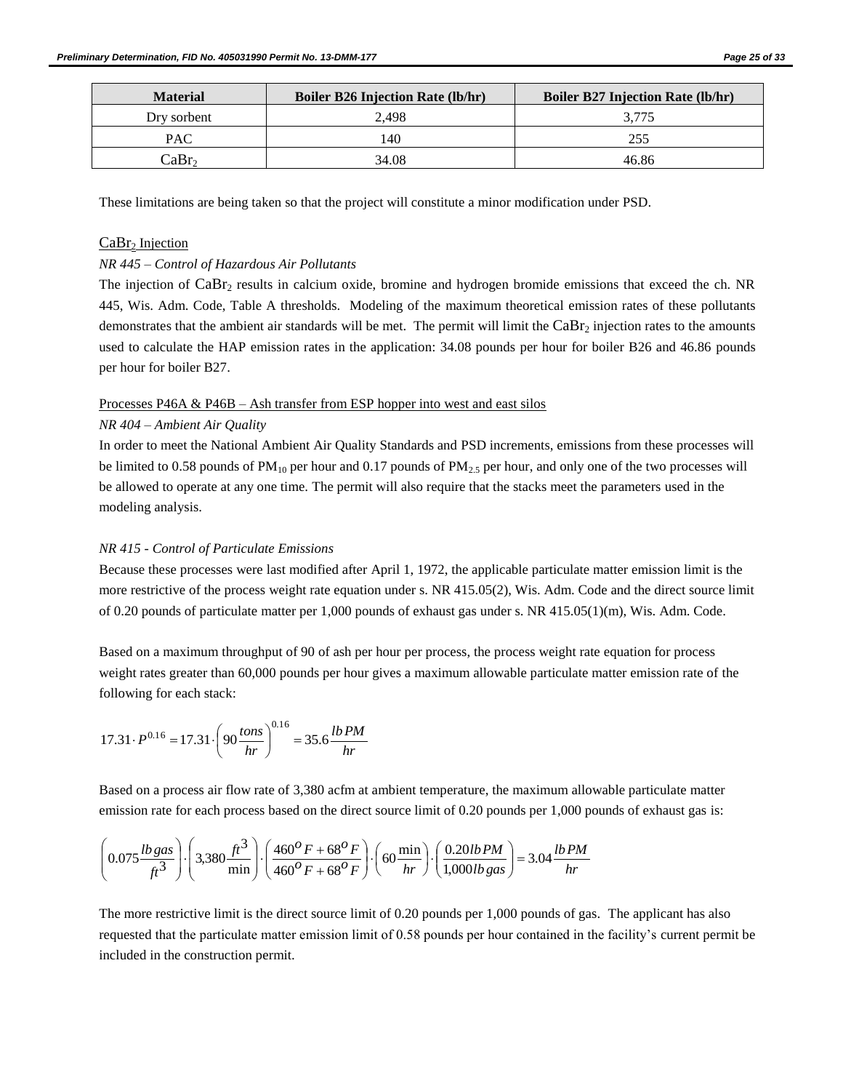| <b>Material</b>   | <b>Boiler B26 Injection Rate (lb/hr)</b> | <b>Boiler B27 Injection Rate (lb/hr)</b> |
|-------------------|------------------------------------------|------------------------------------------|
| Dry sorbent       | 2.498                                    |                                          |
| PAC.              | 140                                      | 255                                      |
| CaBr <sub>2</sub> | 34.08                                    | 46.86                                    |

These limitations are being taken so that the project will constitute a minor modification under PSD.

## $CaBr<sub>2</sub> Injection$

### *NR 445 – Control of Hazardous Air Pollutants*

The injection of CaBr<sub>2</sub> results in calcium oxide, bromine and hydrogen bromide emissions that exceed the ch. NR 445, Wis. Adm. Code, Table A thresholds. Modeling of the maximum theoretical emission rates of these pollutants demonstrates that the ambient air standards will be met. The permit will limit the  $CaBr<sub>2</sub>$  injection rates to the amounts used to calculate the HAP emission rates in the application: 34.08 pounds per hour for boiler B26 and 46.86 pounds per hour for boiler B27.

### Processes P46A & P46B – Ash transfer from ESP hopper into west and east silos

### *NR 404 – Ambient Air Quality*

In order to meet the National Ambient Air Quality Standards and PSD increments, emissions from these processes will be limited to 0.58 pounds of  $PM_{10}$  per hour and 0.17 pounds of  $PM_{2.5}$  per hour, and only one of the two processes will be allowed to operate at any one time. The permit will also require that the stacks meet the parameters used in the modeling analysis.

### *NR 415 - Control of Particulate Emissions*

Because these processes were last modified after April 1, 1972, the applicable particulate matter emission limit is the more restrictive of the process weight rate equation under s. NR 415.05(2), Wis. Adm. Code and the direct source limit of 0.20 pounds of particulate matter per 1,000 pounds of exhaust gas under s. NR 415.05(1)(m), Wis. Adm. Code.

Based on a maximum throughput of 90 of ash per hour per process, the process weight rate equation for process weight rates greater than 60,000 pounds per hour gives a maximum allowable particulate matter emission rate of the following for each stack:

$$
17.31 \cdot P^{0.16} = 17.31 \cdot \left(90 \frac{\text{tons}}{\text{hr}}\right)^{0.16} = 35.6 \frac{\text{lb PM}}{\text{hr}}
$$

Based on a process air flow rate of 3,380 acfm at ambient temperature, the maximum allowable particulate matter emission rate for each process based on the direct source limit of 0.20 pounds per 1,000 pounds of exhaust gas is:

$$
\left(0.075 \frac{l b \, gas}{ft^3}\right) \cdot \left(3.380 \frac{ft^3}{\min}\right) \cdot \left(\frac{460^{\circ} F + 68^{\circ} F}{460^{\circ} F + 68^{\circ} F}\right) \cdot \left(60 \frac{\min}{hr}\right) \cdot \left(\frac{0.20 l b \, PM}{1,000 l b \, gas}\right) = 3.04 \frac{l b \, PM}{hr}
$$

The more restrictive limit is the direct source limit of 0.20 pounds per 1,000 pounds of gas. The applicant has also requested that the particulate matter emission limit of 0.58 pounds per hour contained in the facility's current permit be included in the construction permit.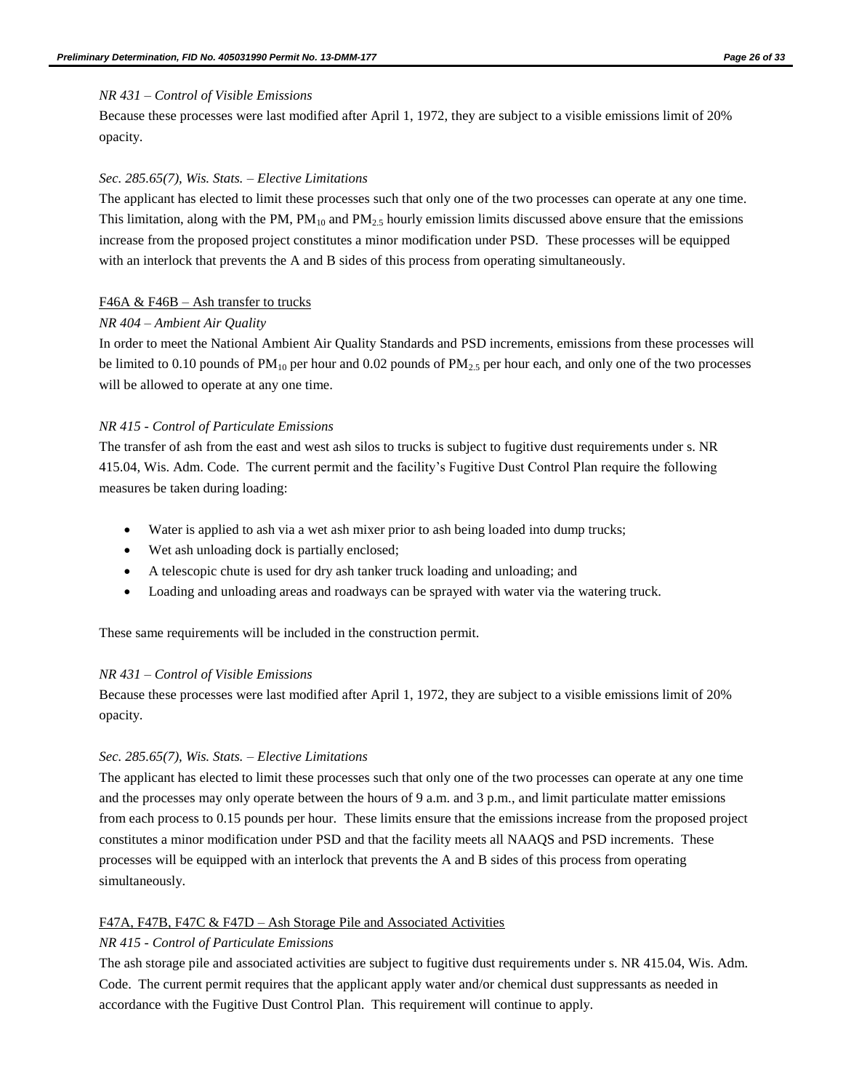#### *NR 431 – Control of Visible Emissions*

Because these processes were last modified after April 1, 1972, they are subject to a visible emissions limit of 20% opacity.

#### *Sec. 285.65(7), Wis. Stats. – Elective Limitations*

The applicant has elected to limit these processes such that only one of the two processes can operate at any one time. This limitation, along with the PM,  $PM_{10}$  and  $PM_{2.5}$  hourly emission limits discussed above ensure that the emissions increase from the proposed project constitutes a minor modification under PSD. These processes will be equipped with an interlock that prevents the A and B sides of this process from operating simultaneously.

#### F46A  $\&$  F46B – Ash transfer to trucks

#### *NR 404 – Ambient Air Quality*

In order to meet the National Ambient Air Quality Standards and PSD increments, emissions from these processes will be limited to 0.10 pounds of  $PM_{10}$  per hour and 0.02 pounds of  $PM_{2.5}$  per hour each, and only one of the two processes will be allowed to operate at any one time.

#### *NR 415 - Control of Particulate Emissions*

The transfer of ash from the east and west ash silos to trucks is subject to fugitive dust requirements under s. NR 415.04, Wis. Adm. Code. The current permit and the facility's Fugitive Dust Control Plan require the following measures be taken during loading:

- Water is applied to ash via a wet ash mixer prior to ash being loaded into dump trucks;
- Wet ash unloading dock is partially enclosed;
- A telescopic chute is used for dry ash tanker truck loading and unloading; and
- Loading and unloading areas and roadways can be sprayed with water via the watering truck.

These same requirements will be included in the construction permit.

#### *NR 431 – Control of Visible Emissions*

Because these processes were last modified after April 1, 1972, they are subject to a visible emissions limit of 20% opacity.

#### *Sec. 285.65(7), Wis. Stats. – Elective Limitations*

The applicant has elected to limit these processes such that only one of the two processes can operate at any one time and the processes may only operate between the hours of 9 a.m. and 3 p.m., and limit particulate matter emissions from each process to 0.15 pounds per hour. These limits ensure that the emissions increase from the proposed project constitutes a minor modification under PSD and that the facility meets all NAAQS and PSD increments. These processes will be equipped with an interlock that prevents the A and B sides of this process from operating simultaneously.

#### F47A, F47B, F47C & F47D – Ash Storage Pile and Associated Activities

#### *NR 415 - Control of Particulate Emissions*

The ash storage pile and associated activities are subject to fugitive dust requirements under s. NR 415.04, Wis. Adm. Code. The current permit requires that the applicant apply water and/or chemical dust suppressants as needed in accordance with the Fugitive Dust Control Plan. This requirement will continue to apply.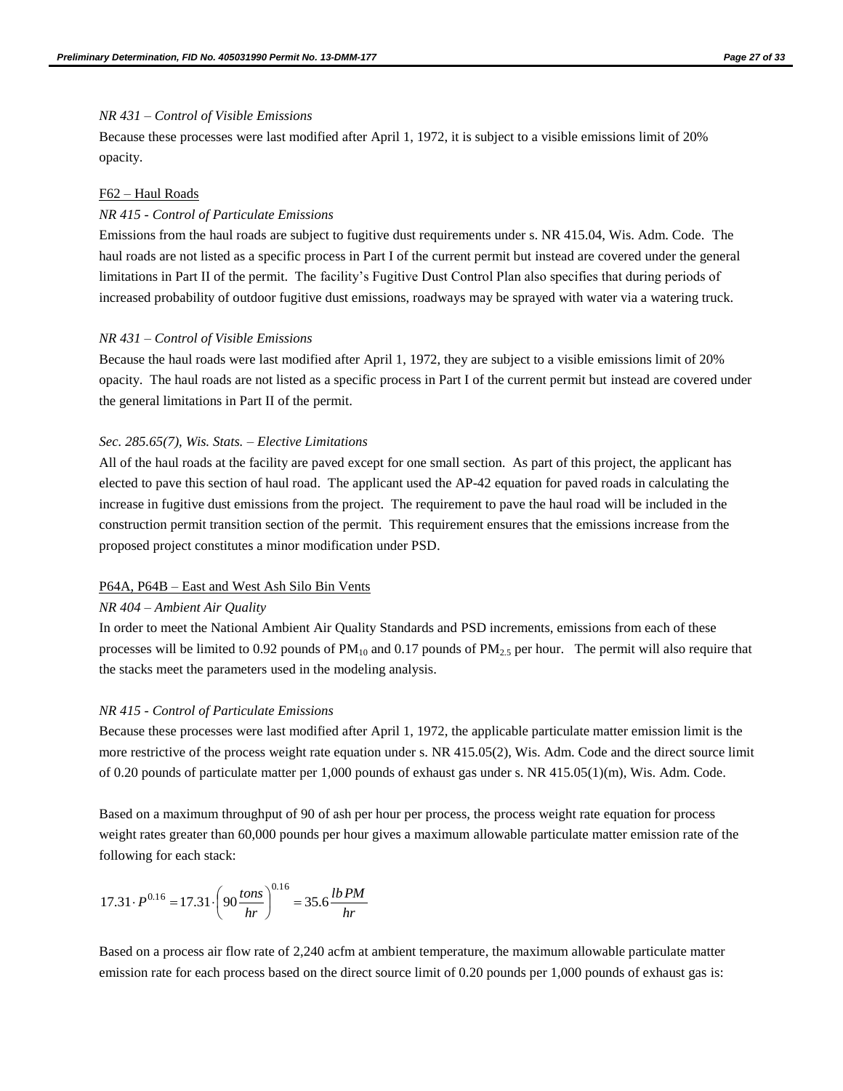#### *NR 431 – Control of Visible Emissions*

Because these processes were last modified after April 1, 1972, it is subject to a visible emissions limit of 20% opacity.

#### F62 – Haul Roads

#### *NR 415 - Control of Particulate Emissions*

Emissions from the haul roads are subject to fugitive dust requirements under s. NR 415.04, Wis. Adm. Code. The haul roads are not listed as a specific process in Part I of the current permit but instead are covered under the general limitations in Part II of the permit. The facility's Fugitive Dust Control Plan also specifies that during periods of increased probability of outdoor fugitive dust emissions, roadways may be sprayed with water via a watering truck.

#### *NR 431 – Control of Visible Emissions*

Because the haul roads were last modified after April 1, 1972, they are subject to a visible emissions limit of 20% opacity. The haul roads are not listed as a specific process in Part I of the current permit but instead are covered under the general limitations in Part II of the permit.

#### *Sec. 285.65(7), Wis. Stats. – Elective Limitations*

All of the haul roads at the facility are paved except for one small section. As part of this project, the applicant has elected to pave this section of haul road. The applicant used the AP-42 equation for paved roads in calculating the increase in fugitive dust emissions from the project. The requirement to pave the haul road will be included in the construction permit transition section of the permit. This requirement ensures that the emissions increase from the proposed project constitutes a minor modification under PSD.

#### P64A, P64B – East and West Ash Silo Bin Vents

#### *NR 404 – Ambient Air Quality*

In order to meet the National Ambient Air Quality Standards and PSD increments, emissions from each of these processes will be limited to 0.92 pounds of  $PM_{10}$  and 0.17 pounds of  $PM_{2.5}$  per hour. The permit will also require that the stacks meet the parameters used in the modeling analysis.

#### *NR 415 - Control of Particulate Emissions*

Because these processes were last modified after April 1, 1972, the applicable particulate matter emission limit is the more restrictive of the process weight rate equation under s. NR 415.05(2), Wis. Adm. Code and the direct source limit of 0.20 pounds of particulate matter per 1,000 pounds of exhaust gas under s. NR 415.05(1)(m), Wis. Adm. Code.

Based on a maximum throughput of 90 of ash per hour per process, the process weight rate equation for process weight rates greater than 60,000 pounds per hour gives a maximum allowable particulate matter emission rate of the following for each stack:

$$
17.31 \cdot P^{0.16} = 17.31 \cdot \left(90 \frac{\text{tons}}{\text{hr}}\right)^{0.16} = 35.6 \frac{\text{lb PM}}{\text{hr}}
$$

Based on a process air flow rate of 2,240 acfm at ambient temperature, the maximum allowable particulate matter emission rate for each process based on the direct source limit of 0.20 pounds per 1,000 pounds of exhaust gas is: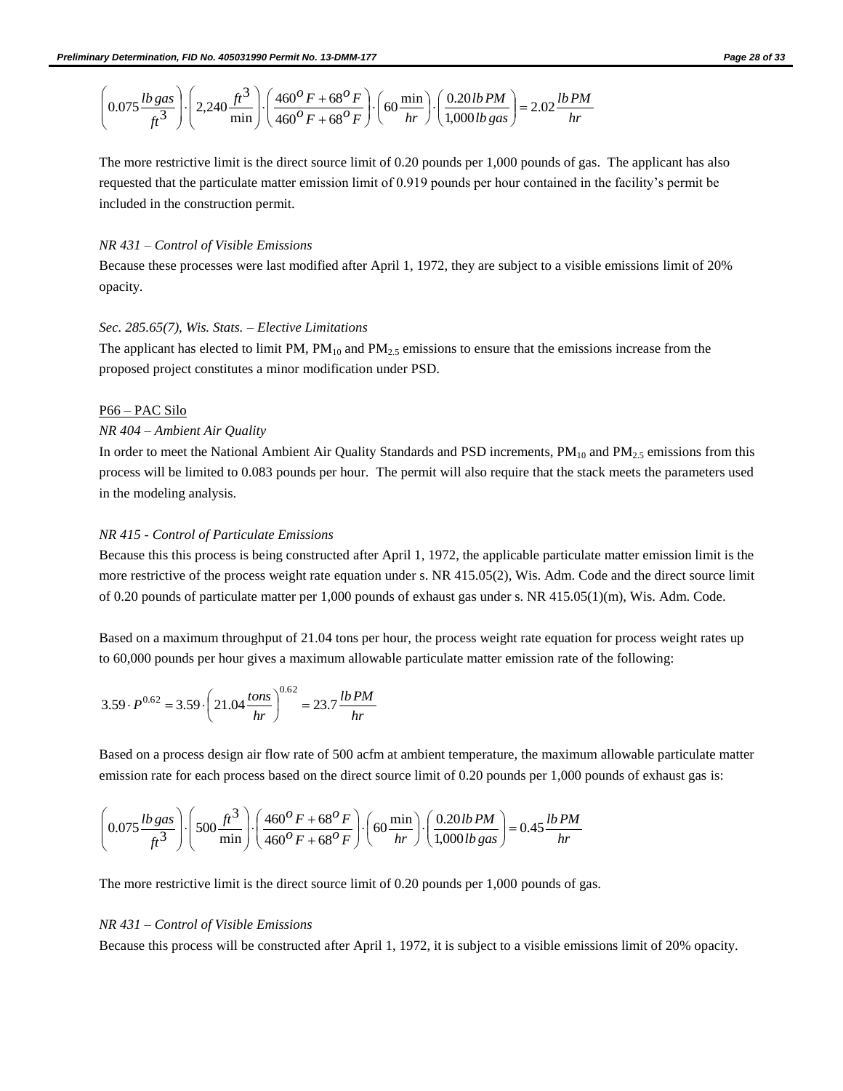$$
\left(0.075 \frac{lb \, gas}{ft^3}\right) \cdot \left(2,240 \frac{ft^3}{\min}\right) \cdot \left(\frac{460^{\circ}F + 68^{\circ}F}{460^{\circ}F + 68^{\circ}F}\right) \cdot \left(60 \frac{\min}{hr}\right) \cdot \left(\frac{0.20 lb \, PM}{1,000 lb \, gas}\right) = 2.02 \frac{lb \, PM}{hr}
$$

The more restrictive limit is the direct source limit of 0.20 pounds per 1,000 pounds of gas. The applicant has also requested that the particulate matter emission limit of 0.919 pounds per hour contained in the facility's permit be included in the construction permit.

#### *NR 431 – Control of Visible Emissions*

Because these processes were last modified after April 1, 1972, they are subject to a visible emissions limit of 20% opacity.

#### *Sec. 285.65(7), Wis. Stats. – Elective Limitations*

The applicant has elected to limit PM,  $PM_{10}$  and  $PM_{2.5}$  emissions to ensure that the emissions increase from the proposed project constitutes a minor modification under PSD.

#### P66 – PAC Silo

### *NR 404 – Ambient Air Quality*

In order to meet the National Ambient Air Quality Standards and PSD increments,  $PM_{10}$  and  $PM_{2.5}$  emissions from this process will be limited to 0.083 pounds per hour. The permit will also require that the stack meets the parameters used in the modeling analysis.

#### *NR 415 - Control of Particulate Emissions*

Because this this process is being constructed after April 1, 1972, the applicable particulate matter emission limit is the more restrictive of the process weight rate equation under s. NR 415.05(2), Wis. Adm. Code and the direct source limit of 0.20 pounds of particulate matter per 1,000 pounds of exhaust gas under s. NR 415.05(1)(m), Wis. Adm. Code.

Based on a maximum throughput of 21.04 tons per hour, the process weight rate equation for process weight rates up to 60,000 pounds per hour gives a maximum allowable particulate matter emission rate of the following:

$$
3.59 \cdot P^{0.62} = 3.59 \cdot \left(21.04 \frac{\text{tons}}{\text{hr}}\right)^{0.62} = 23.7 \frac{\text{lb PM}}{\text{hr}}
$$

Based on a process design air flow rate of 500 acfm at ambient temperature, the maximum allowable particulate matter emission rate for each process based on the direct source limit of 0.20 pounds per 1,000 pounds of exhaust gas is:

$$
\left(0.075 \frac{lb \, gas}{ft^3}\right) \cdot \left(500 \frac{ft^3}{\min}\right) \cdot \left(\frac{460^{\circ}F + 68^{\circ}F}{460^{\circ}F + 68^{\circ}F}\right) \cdot \left(60 \frac{\min}{hr}\right) \cdot \left(\frac{0.20 lb \, PM}{1,000 lb \, gas}\right) = 0.45 \frac{lb \, PM}{hr}
$$

The more restrictive limit is the direct source limit of 0.20 pounds per 1,000 pounds of gas.

#### *NR 431 – Control of Visible Emissions*

Because this process will be constructed after April 1, 1972, it is subject to a visible emissions limit of 20% opacity.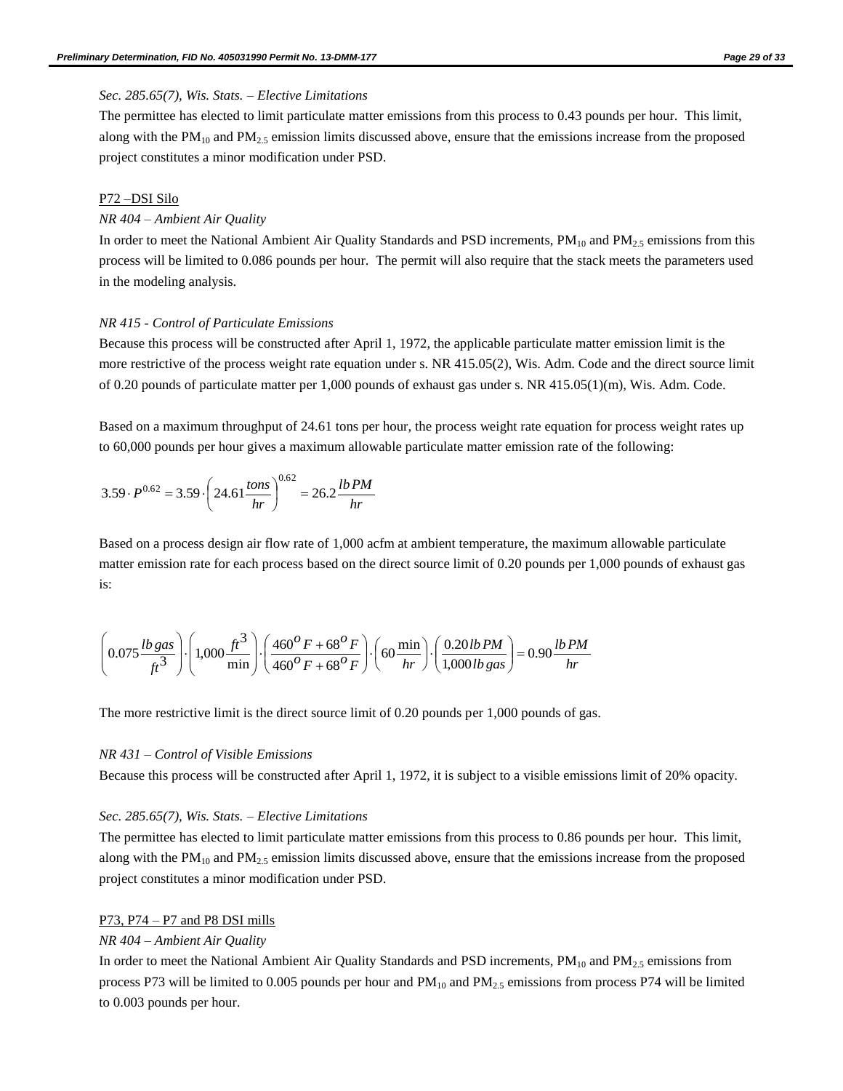#### *Sec. 285.65(7), Wis. Stats. – Elective Limitations*

The permittee has elected to limit particulate matter emissions from this process to 0.43 pounds per hour. This limit, along with the  $PM_{10}$  and  $PM_{2.5}$  emission limits discussed above, ensure that the emissions increase from the proposed project constitutes a minor modification under PSD.

### P72 –DSI Silo

#### *NR 404 – Ambient Air Quality*

In order to meet the National Ambient Air Quality Standards and PSD increments,  $PM_{10}$  and  $PM_{2.5}$  emissions from this process will be limited to 0.086 pounds per hour. The permit will also require that the stack meets the parameters used in the modeling analysis.

#### *NR 415 - Control of Particulate Emissions*

Because this process will be constructed after April 1, 1972, the applicable particulate matter emission limit is the more restrictive of the process weight rate equation under s. NR 415.05(2), Wis. Adm. Code and the direct source limit of 0.20 pounds of particulate matter per 1,000 pounds of exhaust gas under s. NR 415.05(1)(m), Wis. Adm. Code.

Based on a maximum throughput of 24.61 tons per hour, the process weight rate equation for process weight rates up to 60,000 pounds per hour gives a maximum allowable particulate matter emission rate of the following:

$$
3.59 \cdot P^{0.62} = 3.59 \cdot \left(24.61 \frac{\text{tons}}{\text{hr}}\right)^{0.62} = 26.2 \frac{\text{lb PM}}{\text{hr}}
$$

Based on a process design air flow rate of 1,000 acfm at ambient temperature, the maximum allowable particulate matter emission rate for each process based on the direct source limit of 0.20 pounds per 1,000 pounds of exhaust gas is:

$$
\left(0.075 \frac{lb \, gas}{ft^3}\right) \cdot \left(1,000 \frac{ft^3}{\min}\right) \cdot \left(\frac{460^{\circ}F + 68^{\circ}F}{460^{\circ}F + 68^{\circ}F}\right) \cdot \left(60 \frac{\min}{hr}\right) \cdot \left(\frac{0.20 lb \, PM}{1,000 lb \, gas}\right) = 0.90 \frac{lb \, PM}{hr}
$$

The more restrictive limit is the direct source limit of 0.20 pounds per 1,000 pounds of gas.

#### *NR 431 – Control of Visible Emissions*

Because this process will be constructed after April 1, 1972, it is subject to a visible emissions limit of 20% opacity.

#### *Sec. 285.65(7), Wis. Stats. – Elective Limitations*

The permittee has elected to limit particulate matter emissions from this process to 0.86 pounds per hour. This limit, along with the  $PM_{10}$  and  $PM_{2.5}$  emission limits discussed above, ensure that the emissions increase from the proposed project constitutes a minor modification under PSD.

#### P73, P74 – P7 and P8 DSI mills

#### *NR 404 – Ambient Air Quality*

In order to meet the National Ambient Air Quality Standards and PSD increments,  $PM_{10}$  and  $PM_{2.5}$  emissions from process P73 will be limited to 0.005 pounds per hour and  $PM_{10}$  and  $PM_{2.5}$  emissions from process P74 will be limited to 0.003 pounds per hour.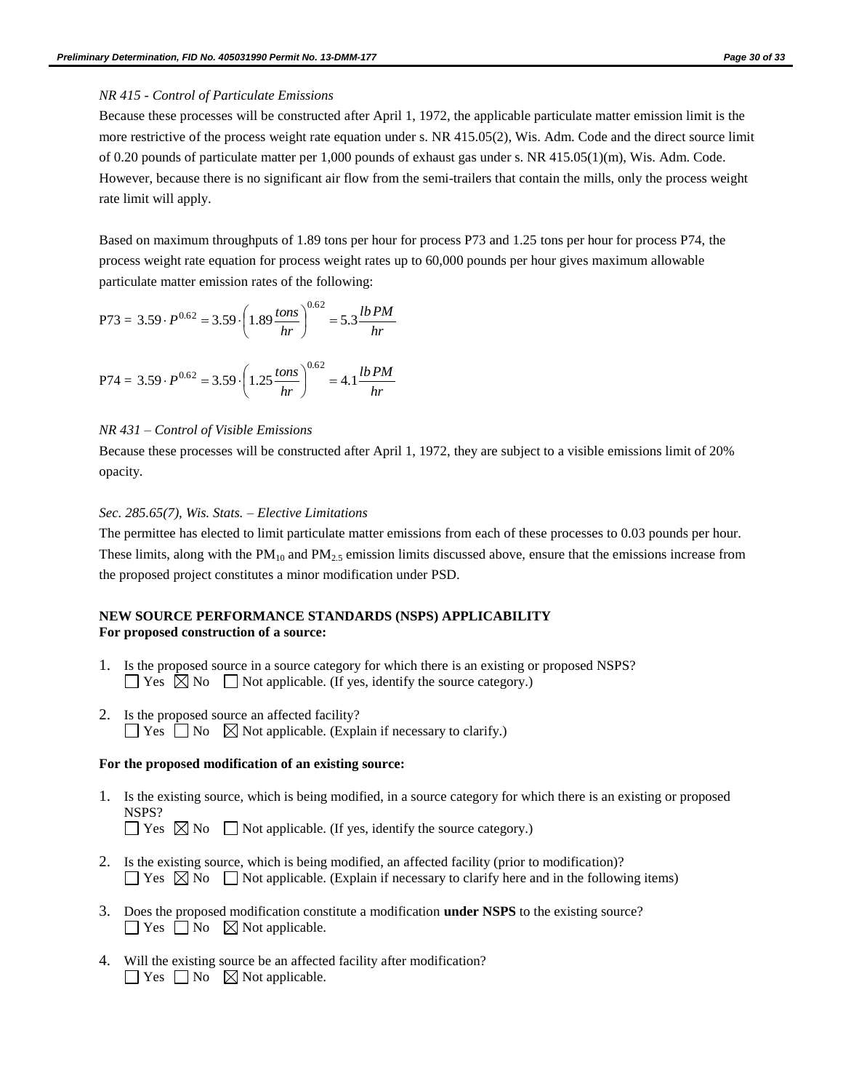#### *NR 415 - Control of Particulate Emissions*

Because these processes will be constructed after April 1, 1972, the applicable particulate matter emission limit is the more restrictive of the process weight rate equation under s. NR 415.05(2), Wis. Adm. Code and the direct source limit of 0.20 pounds of particulate matter per 1,000 pounds of exhaust gas under s. NR 415.05(1)(m), Wis. Adm. Code. However, because there is no significant air flow from the semi-trailers that contain the mills, only the process weight rate limit will apply.

Based on maximum throughputs of 1.89 tons per hour for process P73 and 1.25 tons per hour for process P74, the process weight rate equation for process weight rates up to 60,000 pounds per hour gives maximum allowable particulate matter emission rates of the following:

P73 = 3.59 
$$
\cdot P^{0.62}
$$
 = 3.59  $\cdot \left(1.89 \frac{\text{tons}}{\text{hr}}\right)^{0.62}$  = 5.3  $\frac{\text{lb PM}}{\text{hr}}$ 

$$
P74 = 3.59 \cdot P^{0.62} = 3.59 \cdot \left(1.25 \frac{\text{tons}}{\text{hr}}\right)^{0.62} = 4.1 \frac{\text{lb PM}}{\text{hr}}
$$

#### *NR 431 – Control of Visible Emissions*

Because these processes will be constructed after April 1, 1972, they are subject to a visible emissions limit of 20% opacity.

#### *Sec. 285.65(7), Wis. Stats. – Elective Limitations*

The permittee has elected to limit particulate matter emissions from each of these processes to 0.03 pounds per hour. These limits, along with the  $PM_{10}$  and  $PM_{2.5}$  emission limits discussed above, ensure that the emissions increase from the proposed project constitutes a minor modification under PSD.

#### **NEW SOURCE PERFORMANCE STANDARDS (NSPS) APPLICABILITY For proposed construction of a source:**

- 1. Is the proposed source in a source category for which there is an existing or proposed NSPS?  $\Box$  Yes  $\boxtimes$  No  $\Box$  Not applicable. (If yes, identify the source category.)
- 2. Is the proposed source an affected facility?  $\Box$  Yes  $\Box$  No  $\boxtimes$  Not applicable. (Explain if necessary to clarify.)

#### **For the proposed modification of an existing source:**

1. Is the existing source, which is being modified, in a source category for which there is an existing or proposed NSPS?

 $\Box$  Yes  $\boxtimes$  No  $\Box$  Not applicable. (If yes, identify the source category.)

- 2. Is the existing source, which is being modified, an affected facility (prior to modification)?  $\Box$  Yes  $\boxtimes$  No  $\Box$  Not applicable. (Explain if necessary to clarify here and in the following items)
- 3. Does the proposed modification constitute a modification **under NSPS** to the existing source?  $\Box$  Yes  $\Box$  No  $\boxtimes$  Not applicable.
- 4. Will the existing source be an affected facility after modification?  $\Box$  Yes  $\Box$  No  $\boxtimes$  Not applicable.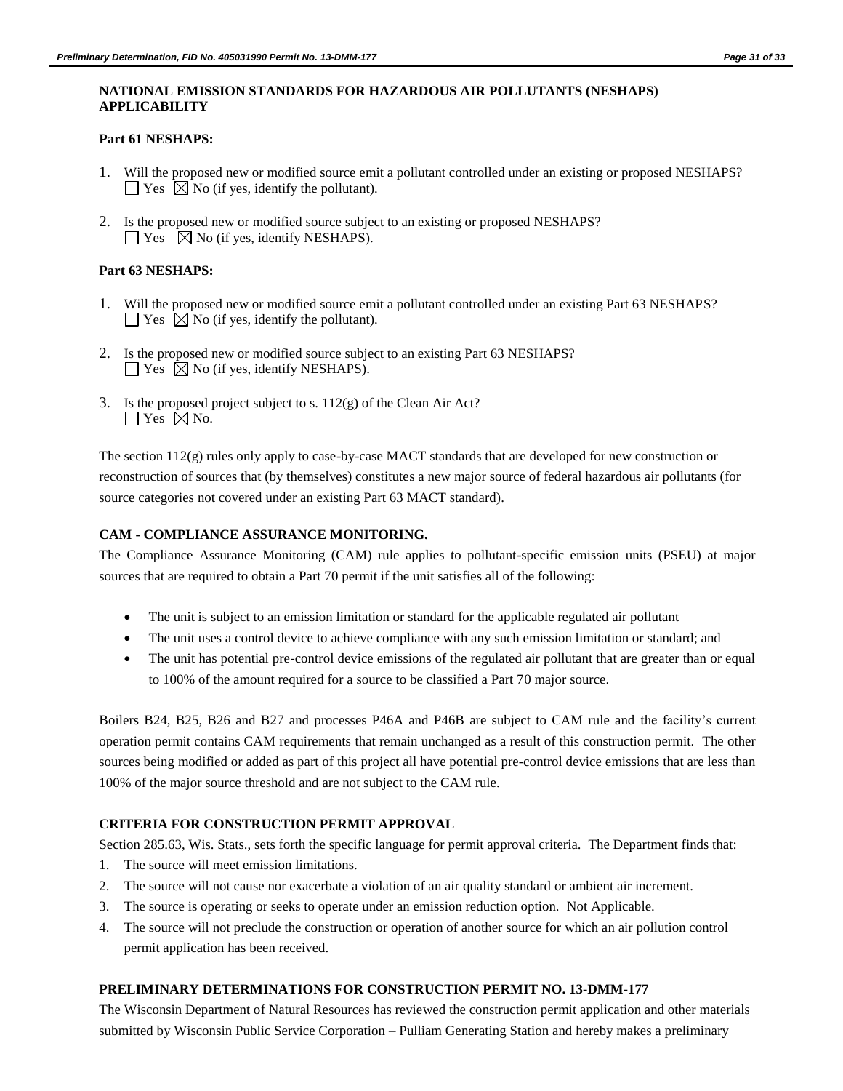## **NATIONAL EMISSION STANDARDS FOR HAZARDOUS AIR POLLUTANTS (NESHAPS) APPLICABILITY**

## **Part 61 NESHAPS:**

- 1. Will the proposed new or modified source emit a pollutant controlled under an existing or proposed NESHAPS?  $\Box$  Yes  $\Box$  No (if yes, identify the pollutant).
- 2. Is the proposed new or modified source subject to an existing or proposed NESHAPS?  $\Box$  Yes  $\Box$  No (if yes, identify NESHAPS).

## **Part 63 NESHAPS:**

- 1. Will the proposed new or modified source emit a pollutant controlled under an existing Part 63 NESHAPS?  $\Box$  Yes  $\Box$  No (if yes, identify the pollutant).
- 2. Is the proposed new or modified source subject to an existing Part 63 NESHAPS?  $\Box$  Yes  $\boxtimes$  No (if yes, identify NESHAPS).
- 3. Is the proposed project subject to s. 112(g) of the Clean Air Act?  $\Box$  Yes  $\boxtimes$  No.

The section 112(g) rules only apply to case-by-case MACT standards that are developed for new construction or reconstruction of sources that (by themselves) constitutes a new major source of federal hazardous air pollutants (for source categories not covered under an existing Part 63 MACT standard).

## **CAM - COMPLIANCE ASSURANCE MONITORING.**

The Compliance Assurance Monitoring (CAM) rule applies to pollutant-specific emission units (PSEU) at major sources that are required to obtain a Part 70 permit if the unit satisfies all of the following:

- The unit is subject to an emission limitation or standard for the applicable regulated air pollutant
- The unit uses a control device to achieve compliance with any such emission limitation or standard; and
- The unit has potential pre-control device emissions of the regulated air pollutant that are greater than or equal to 100% of the amount required for a source to be classified a Part 70 major source.

Boilers B24, B25, B26 and B27 and processes P46A and P46B are subject to CAM rule and the facility's current operation permit contains CAM requirements that remain unchanged as a result of this construction permit. The other sources being modified or added as part of this project all have potential pre-control device emissions that are less than 100% of the major source threshold and are not subject to the CAM rule.

## **CRITERIA FOR CONSTRUCTION PERMIT APPROVAL**

Section 285.63, Wis. Stats., sets forth the specific language for permit approval criteria. The Department finds that:

- 1. The source will meet emission limitations.
- 2. The source will not cause nor exacerbate a violation of an air quality standard or ambient air increment.
- 3. The source is operating or seeks to operate under an emission reduction option. Not Applicable.
- 4. The source will not preclude the construction or operation of another source for which an air pollution control permit application has been received.

## **PRELIMINARY DETERMINATIONS FOR CONSTRUCTION PERMIT NO. 13-DMM-177**

The Wisconsin Department of Natural Resources has reviewed the construction permit application and other materials submitted by Wisconsin Public Service Corporation – Pulliam Generating Station and hereby makes a preliminary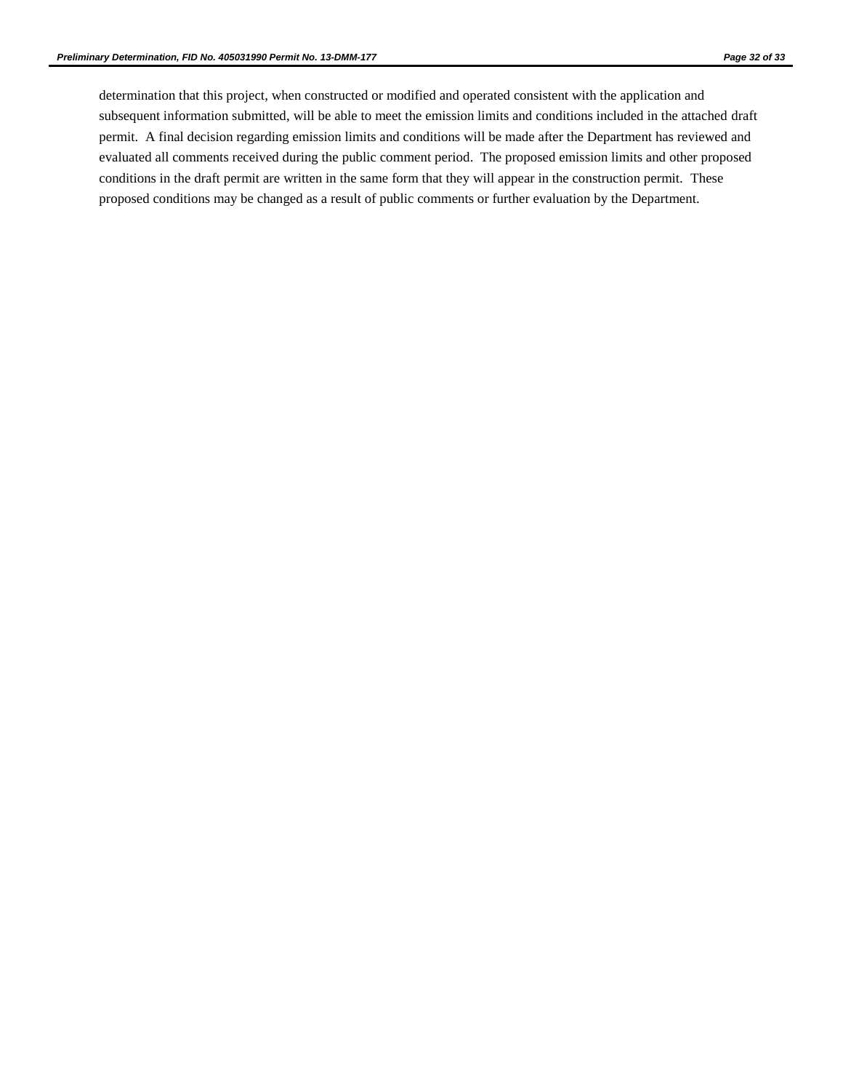determination that this project, when constructed or modified and operated consistent with the application and subsequent information submitted, will be able to meet the emission limits and conditions included in the attached draft permit. A final decision regarding emission limits and conditions will be made after the Department has reviewed and evaluated all comments received during the public comment period. The proposed emission limits and other proposed conditions in the draft permit are written in the same form that they will appear in the construction permit. These proposed conditions may be changed as a result of public comments or further evaluation by the Department.